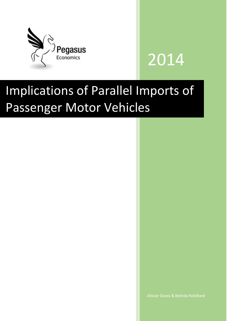

# 2014

# Implications of Parallel Imports of Passenger Motor Vehicles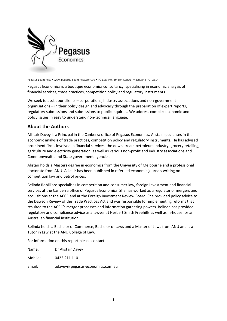

Pegasus Economics • www.pegasus-economics.com.au • PO Box 449 Jamison Centre, Macquarie ACT 2614

Pegasus Economics is a boutique economics consultancy, specialising in economic analysis of financial services, trade practices, competition policy and regulatory instruments.

We seek to assist our clients – corporations, industry associations and non-government organisations – in their policy design and advocacy through the preparation of expert reports, regulatory submissions and submissions to public inquiries. We address complex economic and policy issues in easy to understand non-technical language.

#### **About the Authors**

Alistair Davey is a Principal in the Canberra office of Pegasus Economics. Alistair specialises in the economic analysis of trade practices, competition policy and regulatory instruments. He has advised prominent firms involved in financial services, the downstream petroleum industry, grocery retailing, agriculture and electricity generation, as well as various non-profit and industry associations and Commonwealth and State government agencies.

Alistair holds a Masters degree in economics from the University of Melbourne and a professional doctorate from ANU. Alistair has been published in refereed economic journals writing on competition law and petrol prices.

Belinda Robilliard specialises in competition and consumer law, foreign investment and financial services at the Canberra office of Pegasus Economics. She has worked as a regulator of mergers and acquisitions at the ACCC and at the Foreign Investment Review Board. She provided policy advice to the Dawson Review of the Trade Practices Act and was responsible for implementing reforms that resulted to the ACCC's merger processes and information gathering powers. Belinda has provided regulatory and compliance advice as a lawyer at Herbert Smith Freehills as well as in-house for an Australian financial institution.

Belinda holds a Bachelor of Commerce, Bachelor of Laws and a Master of Laws from ANU and is a Tutor in Law at the ANU College of Law.

For information on this report please contact:

Name: Dr Alistair Davey

Mobile: 0422 211 110

Email: adavey@pegasus-economics.com.au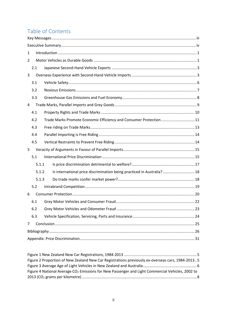# Table of Contents

| $\mathbf{1}$ |       |                                                                         |  |  |  |
|--------------|-------|-------------------------------------------------------------------------|--|--|--|
| 2            |       |                                                                         |  |  |  |
|              | 2.1   |                                                                         |  |  |  |
| 3            |       |                                                                         |  |  |  |
|              | 3.1   |                                                                         |  |  |  |
|              | 3.2   |                                                                         |  |  |  |
|              | 3.3   |                                                                         |  |  |  |
| 4            |       |                                                                         |  |  |  |
|              | 4.1   |                                                                         |  |  |  |
|              | 4.2   | Trade Marks Promote Economic Efficiency and Consumer Protection 11      |  |  |  |
|              | 4.3   |                                                                         |  |  |  |
|              | 4.4   |                                                                         |  |  |  |
|              | 4.5   |                                                                         |  |  |  |
| 5            |       |                                                                         |  |  |  |
|              | 5.1   |                                                                         |  |  |  |
|              | 5.1.1 |                                                                         |  |  |  |
|              | 5.1.2 | Is international price discrimination being practiced in Australia?  18 |  |  |  |
|              | 5.1.3 |                                                                         |  |  |  |
|              | 5.2   |                                                                         |  |  |  |
| 6            |       |                                                                         |  |  |  |
|              | 6.1   |                                                                         |  |  |  |
|              | 6.2   |                                                                         |  |  |  |
|              | 6.3   |                                                                         |  |  |  |
| 7            |       |                                                                         |  |  |  |
|              |       |                                                                         |  |  |  |
|              |       |                                                                         |  |  |  |

| Figure 2 Proportion of New Zealand New Car Registrations previously ex-overseas cars, 1984-20135             |  |
|--------------------------------------------------------------------------------------------------------------|--|
|                                                                                                              |  |
| Figure 4 National Average CO <sub>2</sub> Emissions for New Passenger and Light Commercial Vehicles, 2002 to |  |
|                                                                                                              |  |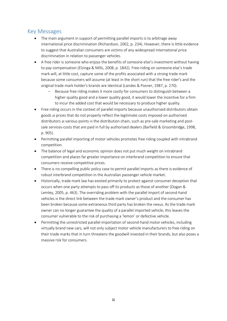### <span id="page-3-0"></span>Key Messages

- The main argument in support of permitting parallel imports is to arbitrage away international price discrimination (Richardson, 2002, p. 234). However, there is little evidence to suggest that Australian consumers are victims of any widespread international price discrimination in relation to passenger vehicles.
- A free rider is someone who enjoys the benefits of someone else's investment without having to pay compensation (Elzinga & Mills, 2008, p. 1842). Free-riding on someone else's trade mark will, at little cost, capture some of the profits associated with a strong trade mark because some consumers will assume (at least in the short run) that the free rider's and the original trade mark holder's brands are identical (Landes & Posner, 1987, p. 270).
	- Because free riding makes it more costly for consumers to distinguish between a higher quality good and a lower quality good, it would lower the incentive for a firm to incur the added cost that would be necessary to produce higher quality.
- Free riding occurs in the context of parallel imports because unauthorised distributors obtain goods at prices that do not properly reflect the legitimate costs imposed on authorised distributors at various points in the distribution chain, such as pre-sale marketing and postsale services-costs that are paid in full by authorised dealers (Barfield & Groombridge, 1998, p. 905).
- Permitting parallel importing of motor vehicles promotes free riding coupled with intrabrand competition.
- The balance of legal and economic opinion does not put much weight on intrabrand competition and places far greater importance on interbrand competition to ensure that consumers receive competitive prices.
- There is no compelling public policy case to permit parallel imports as there is evidence of robust interbrand competition in the Australian passenger vehicle market.
- Historically, trade mark law has existed primarily to protect against consumer deception that occurs when one party attempts to pass off its products as those of another (Dogan & Lemley, 2005, p. 463). The overriding problem with the parallel import of second-hand vehicles is the direct link between the trade mark owner's product and the consumer has been broken because some extraneous third party has broken the nexus. As the trade mark owner can no longer guarantee the quality of a parallel imported vehicle, this leaves the consumer vulnerable to the risk of purchasing a 'lemon' or defective vehicle.
- Permitting the unrestricted parallel importation of second-hand motor vehicles, including virtually brand new cars, will not only subject motor vehicle manufacturers to free riding on their trade marks that in turn threatens the goodwill invested in their brands, but also poses a massive risk for consumers.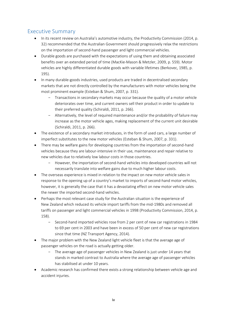# <span id="page-4-0"></span>Executive Summary

- In its recent review on Australia's automotive industry, the Productivity Commission (2014, p. 32) recommended that the Australian Government should progressively relax the restrictions on the importation of second-hand passenger and light commercial vehicles.
- Durable goods are purchased with the expectations of using them and obtaining associated benefits over an extended period of time (MacKie-Mason & Metzler, 2009, p. 559). Motor vehicles are highly differentiated durable goods with variable lifetimes (Berkovec, 1985, p. 195).
- In many durable-goods industries, used products are traded in decentralised secondary markets that are not directly controlled by the manufacturers with motor vehicles being the most prominent example (Esteban & Shum, 2007, p. 331).
	- Transactions in secondary markets may occur because the quality of a motor vehicle deteriorates over time, and current owners sell their product in order to update to their preferred quality (Schiraldi, 2011, p. 266).
	- Alternatively, the level of required maintenance and/or the probability of failure may increase as the motor vehicle ages, making replacement of the current unit desirable (Schiraldi, 2011, p. 266).
- The existence of a secondary market introduces, in the form of used cars, a large number of imperfect substitutes to the new motor vehicles (Esteban & Shum, 2007, p. 331).
- There may be welfare gains for developing countries from the importation of second-hand vehicles because they are labour-intensive in their use, maintenance and repair relative to new vehicles due to relatively low labour costs in those countries.
	- However, the importation of second-hand vehicles into developed countries will not necessarily translate into welfare gains due to much higher labour costs.
- The overseas experience is mixed in relation to the impact on new motor vehicle sales in response to the opening up of a country's market to imports of second-hand motor vehicles, however, it is generally the case that it has a devastating effect on new motor vehicle sales the newer the imported second-hand vehicles.
- Perhaps the most relevant case study for the Australian situation is the experience of New Zealand which reduced its vehicle import tariffs from the mid-1980s and removed all tariffs on passenger and light commercial vehicles in 1998 (Productivity Commission, 2014, p. 158).
	- Second-hand imported vehicles rose from 2 per cent of new car registrations in 1984 to 69 per cent in 2003 and have been in excess of 50 per cent of new car registrations since that time (NZ Transport Agency, 2014).
- The major problem with the New Zealand light vehicle fleet is that the average age of passenger vehicles on the road is actually getting older.
	- The average age of passenger vehicles in New Zealand is just under 14 years that stands in marked contrast to Australia where the average age of passenger vehicles has stabilised at under 10 years.
- Academic research has confirmed there exists a strong relationship between vehicle age and accident injuries.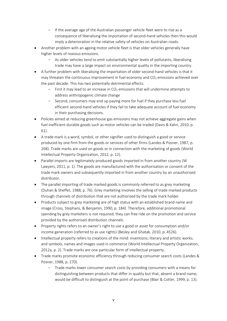- If the average age of the Australian passenger vehicle fleet were to rise as a consequence of liberalising the importation of second-hand vehicles then this would imply a deterioration in the relative safety of vehicles on Australian roads.
- Another problem with an ageing motor vehicle fleet is that older vehicles generally have higher levels of noxious emissions.
	- As older vehicles tend to emit substantially higher levels of pollutants, liberalising trade may have a large impact on environmental quality in the importing country.
- A further problem with liberalising the importation of older second-hand vehicles is that it may threaten the continuous improvement in fuel economy and  $CO<sub>2</sub>$  emissions achieved over the past decade. This has two potentially detrimental effects:
	- First it may lead to an increase in  $CO<sub>2</sub>$  emissions that will undermine attempts to address anthropogenic climate change
	- Second, consumers may end up paying more for fuel if they purchase less fuel efficient second-hand vehicles if they fail to take adequate account of fuel economy in their purchasing decisions.
- Policies aimed at reducing greenhouse gas emissions may not achieve aggregate gains when fuel inefficient durable goods such as motor vehicles can be traded (Davis & Kahn, 2010, p. 61).
- A trade mark is a word, symbol, or other signifier used to distinguish a good or service produced by one firm from the goods or services of other firms (Landes & Posner, 1987, p. 268). Trade marks are used on goods or in connection with the marketing of goods (World Intellectual Property Organization, 2012, p. 12).
- Parallel imports are legitimately produced goods imported in from another country (W Lawyers, 2011, p. 1). The goods are manufactured with the authorisation or consent of the trade mark owners and subsequently imported in from another country by an unauthorised distributor.
- The parallel importing of trade marked goods is commonly referred to as grey marketing (Duhan & Sheffet, 1988, p. 76). Grey marketing involves the selling of trade marked products through channels of distribution that are not authorised by the trade mark holder.
- Products subject to grey marketing are of high status with an established brand name and image (Cross, Stephans, & Benjamin, 1990, p. 184). Therefore, additional promotional spending by grey marketers is not required; they can free ride on the promotion and service provided by the authorised distribution channels.
- Property rights refers to an owner's right to use a good or asset for consumption and/or income generation (referred to as use rights) (Besley and Ghatak, 2010, p. 4526).
- Intellectual property refers to creations of the mind: inventions; literary and artistic works; and symbols, names and images used in commerce (World Intellectual Property Organization, 2012a, p. 2). Trade marks are one particular form of intellectual property.
- Trade marks promote economic efficiency through reducing consumer search costs (Landes & Posner, 1988, p. 270).
	- Trade marks lower consumer search costs by providing consumers with a means for distinguishing between products that differ in quality but that, absent a brand name, would be difficult to distinguish at the point of purchase (Blair & Cotter, 1999, p. 13).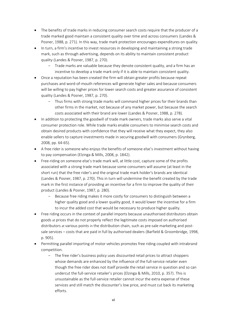- The benefits of trade marks in reducing consumer search costs require that the producer of a trade marked good maintain a consistent quality over time and across consumers (Landes & Posner, 1988, p. 271). In this way, trade mark protection encourages expenditures on quality.
- In turn, a firm's incentive to invest resources in developing and maintaining a strong trade mark, such as through advertising, depends on its ability to maintain consistent product quality (Landes & Posner, 1987, p. 270).
	- Trade marks are valuable because they denote consistent quality, and a firm has an incentive to develop a trade mark only if it is able to maintain consistent quality.
- Once a reputation has been created the firm will obtain greater profits because repeat purchases and word-of-mouth references will generate higher sales and because consumers will be willing to pay higher prices for lower search costs and greater assurance of consistent quality (Landes & Posner, 1987, p. 270).
	- Thus firms with strong trade marks will command higher prices for their brands than other firms in the market, not because of any market power, but because the search costs associated with their brand are lower (Landes & Posner, 1988, p. 278).
- In addition to protecting the goodwill of trade mark owners, trade marks also serve a vital consumer protection role. While trade marks enable consumers to minimise search costs and obtain desired products with confidence that they will receive what they expect, they also enable sellers to capture investments made in securing goodwill with consumers (Grynberg, 2008, pp. 64-65).
- A free rider is someone who enjoys the benefits of someone else's investment without having to pay compensation (Elzinga & Mills, 2008, p. 1842).
- Free-riding on someone else's trade mark will, at little cost, capture some of the profits associated with a strong trade mark because some consumers will assume (at least in the short run) that the free rider's and the original trade mark holder's brands are identical (Landes & Posner, 1987, p. 270). This in turn will undermine the benefit created by the trade mark in the first instance of providing an incentive for a firm to improve the quality of their product (Landes & Posner, 1987, p. 280).
	- Because free riding makes it more costly for consumers to distinguish between a higher quality good and a lower quality good, it would lower the incentive for a firm to incur the added cost that would be necessary to produce higher quality.
- Free riding occurs in the context of parallel imports because unauthorised distributors obtain goods at prices that do not properly reflect the legitimate costs imposed on authorised distributors at various points in the distribution chain, such as pre-sale marketing and postsale services – costs that are paid in full by authorised dealers (Barfield & Groombridge, 1998, p. 905).
- Permitting parallel importing of motor vehicles promotes free riding coupled with intrabrand competition.
	- The free rider's business policy uses discounted retail prices to attract shoppers whose demands are enhanced by the influence of the full-service retailer even though the free rider does not itself provide the retail service in question and so can undercut the full-service retailer's prices (Elzinga & Mills, 2010, p. 357). This is unsustainable as the full-service retailer cannot incur the extra expense of these services and still match the discounter's low price, and must cut back its marketing efforts.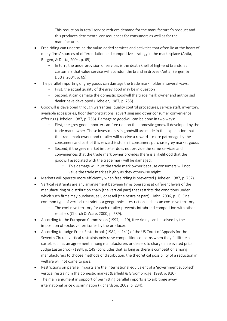- This reduction in retail service reduces demand for the manufacturer's product and this produces detrimental consequences for consumers as well as for the manufacturer.
- Free riding can undermine the value-added services and activities that often lie at the heart of many firms' sources of differentiation and competitive strategy in the marketplace (Antia, Bergen, & Dutta, 2004, p. 65).
	- In turn, the underprovision of services is the death knell of high-end brands, as customers that value service will abandon the brand in droves (Antia, Bergen, & Dutta, 2004, p. 65).
- The parallel importing of grey goods can damage the trade mark holder in several ways:
	- First, the actual quality of the grey good may be in question
	- Second, it can damage the domestic goodwill the trade mark owner and authorised dealer have developed (Liebeler, 1987, p. 755).
- Goodwill is developed through warranties, quality control procedures, service staff, inventory, available accessories, floor demonstrations, advertising and other consumer convenience offerings (Liebeler, 1987, p. 756). Damage to goodwill can be done in two ways:
	- First, the grey good importer can free ride on the domestic goodwill developed by the trade mark owner. These investments in goodwill are made in the expectation that the trade mark owner and retailer will receive a reward – more patronage by the consumers and part of this reward is stolen if consumers purchase grey market goods
	- Second, if the grey market importer does not provide the same services and conveniences that the trade mark owner provides there is a likelihood that the goodwill associated with the trade mark will be damaged.
		- o This damage will hurt the trade mark owner because consumers will not value the trade mark as highly as they otherwise might.
- Markets will operate more efficiently when free riding is prevented (Liebeler, 1987, p. 757).
- Vertical restraints are any arrangement between firms operating at different levels of the manufacturing or distribution chain (the vertical part) that restricts the conditions under which such firms may purchase, sell, or resell (the restraint part) (Hahn, 2006, p. 1). One common type of vertical restraint is a geographical restriction such as an exclusive territory.
	- The exclusive territory for each retailer prevents intrabrand competition with other retailers (Church & Ware, 2000, p. 689).
- According to the European Commission (1997, p. 19), free riding can be solved by the imposition of exclusive territories by the producer.
- According to Judge Frank Easterbrook (1984, p. 141) of the US Court of Appeals for the Seventh Circuit, vertical restraints only raise competition concerns when they facilitate a cartel, such as an agreement among manufacturers or dealers to charge an elevated price. Judge Easterbrook (1984, p. 149) concludes that as long as there is competition among manufacturers to choose methods of distribution, the theoretical possibility of a reduction in welfare will not come to pass.
- Restrictions on parallel imports are the international equivalent of a 'government supplied' vertical restraint in the domestic market (Barfield & Groombridge, 1998, p. 920).
- The main argument in support of permitting parallel imports is to arbitrage away international price discrimination (Richardson, 2002, p. 234).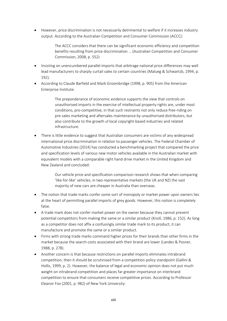However, price discrimination is not necessarily detrimental to welfare if it increases industry output. According to the Australian Competition and Consumer Commission (ACCC):

> The ACCC considers that there can be significant economic efficiency and competition benefits resulting from price discrimination … (Australian Competition and Consumer Commission, 2008, p. 552)

- Insisting on unencumbered parallel imports that arbitrage national price differences may well lead manufacturers to sharply curtail sales to certain countries (Malueg & Schwartzb, 1994, p. 192).
- According to Claude Barfield and Mark Groombridge (1998, p. 905) from the American Enterprise Institute:

The preponderance of economic evidence supports the view that controls on unauthorised imports in the exercise of intellectual property rights are, under most conditions, pro-competitive, in that such restraints not only reduce free-riding on pre-sales marketing and aftersales maintenance by unauthorised distributors, but also contribute to the growth of local copyright-based industries and related infrastructure.

• There is little evidence to suggest that Australian consumers are victims of any widespread international price discrimination in relation to passenger vehicles. The Federal Chamber of Automotive Industries (2014) has conducted a benchmarking project that compared the price and specification levels of various new motor vehicles available in the Australian market with equivalent models with a comparable right hand drive market in the United Kingdom and New Zealand and concluded:

> Our vehicle price and specification comparison research shows that when comparing 'like-for-like' vehicles, in two representative markets (the UK and NZ) the vast majority of new cars are cheaper in Australia than overseas.

- The notion that trade marks confer some sort of monopoly or market power upon owners lies at the heart of permitting parallel imports of grey goods. However, this notion is completely false.
- A trade mark does not confer market power on the owner because they cannot prevent potential competitors from making the same or a similar product (Knoll, 1986, p. 152). As long as a competitor does not affix a confusingly similar trade mark to its product, it can manufacture and promote the same or a similar product.
- Firms with strong trade marks command higher prices for their brands than other firms in the market because the search costs associated with their brand are lower (Landes & Posner, 1988, p. 278).
- Another concern is that because restrictions on parallel imports eliminates intrabrand competition, then it should be scrutinised from a competition policy standpoint (Gallini & Hollis, 1999, p. 2). However, the balance of legal and economic opinion does not put much weight on intrabrand competition and places far greater importance on interbrand competition to ensure that consumers receive competitive prices. According to Professor Eleanor Fox (2001, p. 982) of New York University: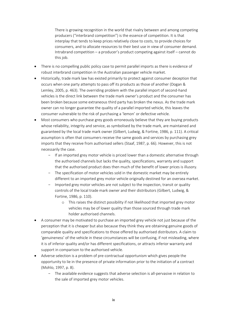There is growing recognition in the world that rivalry between and among competing producers ("interbrand competition") is the essence of competition. It is that interplay that tends to keep prices relatively close to costs, to provide choices for consumers, and to allocate resources to their best use in view of consumer demand. Intrabrand competition – a producer's product competing against itself – cannot do this job.

- There is no compelling public policy case to permit parallel imports as there is evidence of robust interbrand competition in the Australian passenger vehicle market.
- Historically, trade mark law has existed primarily to protect against consumer deception that occurs when one party attempts to pass off its products as those of another (Dogan & Lemley, 2005, p. 463). The overriding problem with the parallel import of second-hand vehicles is the direct link between the trade mark owner's product and the consumer has been broken because some extraneous third party has broken the nexus. As the trade mark owner can no longer guarantee the quality of a parallel imported vehicle, this leaves the consumer vulnerable to the risk of purchasing a 'lemon' or defective vehicle.
- Most consumers who purchase grey goods erroneously believe that they are buying products whose reliability, integrity and service, as symbolised by the trade mark, are maintained and guaranteed by the local trade mark owner (Gilbert, Ludwig, & Fortine, 1986, p. 111). A critical assumption is often that consumers receive the same goods and services by purchasing grey imports that they receive from authorised sellers (Staaf, 1987, p. 66). However, this is not necessarily the case.
	- If an imported grey motor vehicle is priced lower than a domestic alternative through the authorised channels but lacks the quality, specifications, warranty and support that the authorised product does then much of the benefit of lower prices is illusory.
	- The specification of motor vehicles sold in the domestic market may be entirely different to an imported grey motor vehicle originally destined for an oversea market.
	- Imported grey motor vehicles are not subject to the inspection, transit or quality controls of the local trade mark owner and their distributors (Gilbert, Ludwig, & Fortine, 1986, p. 110).
		- o This raises the distinct possibility if not likelihood that imported grey motor vehicles may be of lower quality than those sourced through trade mark holder authorised channels.
- A consumer may be motivated to purchase an imported grey vehicle not just because of the perception that it is cheaper but also because they think they are obtaining genuine goods of comparable quality and specifications to those offered by authorised distributors. A claim to 'genuineness' of the vehicle in these circumstances will be confusing, if not misleading, where it is of inferior quality and/or has different specifications, or attracts inferior warranty and support in comparison to the authorised vehicle.
- Adverse selection is a problem of pre-contractual opportunism which gives people the opportunity to lie in the presence of private information prior to the initiation of a contract (Mohlo, 1997, p. 8).
	- The available evidence suggests that adverse selection is all-pervasive in relation to the sale of imported grey motor vehicles.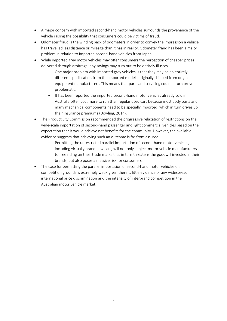- A major concern with imported second-hand motor vehicles surrounds the provenance of the vehicle raising the possibility that consumers could be victims of fraud.
- Odometer fraud is the winding back of odometers in order to convey the impression a vehicle has travelled less distance or mileage than it has in reality. Odometer fraud has been a major problem in relation to imported second-hand vehicles from Japan.
- While imported grey motor vehicles may offer consumers the perception of cheaper prices delivered through arbitrage, any savings may turn out to be entirely illusory.
	- One major problem with imported grey vehicles is that they may be an entirely different specification from the imported models originally shipped from original equipment manufacturers. This means that parts and servicing could in turn prove problematic.
	- It has been reported the imported second-hand motor vehicles already sold in Australia often cost more to run than regular used cars because most body parts and many mechanical components need to be specially imported, which in turn drives up their insurance premiums (Dowling, 2014).
- The Productivity Commission recommended the progressive relaxation of restrictions on the wide-scale importation of second-hand passenger and light commercial vehicles based on the expectation that it would achieve net benefits for the community. However, the available evidence suggests that achieving such an outcome is far from assured.
	- Permitting the unrestricted parallel importation of second-hand motor vehicles, including virtually brand new cars, will not only subject motor vehicle manufacturers to free riding on their trade marks that in turn threatens the goodwill invested in their brands, but also poses a massive risk for consumers.
- The case for permitting the parallel importation of second-hand motor vehicles on competition grounds is extremely weak given there is little evidence of any widespread international price discrimination and the intensity of interbrand competition in the Australian motor vehicle market.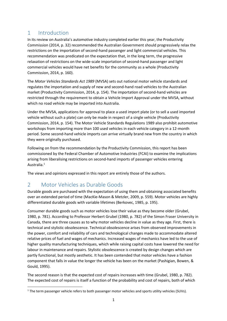# <span id="page-11-0"></span>1 Introduction

In its review on Australia's automotive industry completed earlier this year, the Productivity Commission (2014, p. 32) recommended the Australian Government should progressively relax the restrictions on the importation of second-hand passenger and light commercial vehicles. This recommendation was predicated on the expectation that, in the long term, the progressive relaxation of restrictions on the wide-scale importation of second-hand passenger and light commercial vehicles would have net benefits for the community as a whole (Productivity Commission, 2014, p. 160).

The *Motor Vehicles Standards Act 1989* (MVSA) sets out national motor vehicle standards and regulates the importation and supply of new and second-hand road vehicles to the Australian market (Productivity Commission, 2014, p. 154). The importation of second-hand vehicles are restricted through the requirement to obtain a Vehicle Import Approval under the MVSA, without which no road vehicle may be imported into Australia.

Under the MVSA, applications for approval to place a used import plate (or to sell a used imported vehicle without such a plate) can only be made in respect of a single vehicle (Productivity Commission, 2014, p. 154). The Motor Vehicle Standards Regulations 1989 also prohibit automotive workshops from importing more than 100 used vehicles in each vehicle category in a 12-month period. Some second-hand vehicle imports can arrive virtually brand new from the country in which they were originally purchased.

Following on from the recommendation by the Productivity Commission, this report has been commissioned by the Federal Chamber of Automotive Industries (FCAI) to examine the implications arising from liberalising restrictions on second-hand imports of passenger vehicles entering Australia.<sup>1</sup>

The views and opinions expressed in this report are entirely those of the authors.

# <span id="page-11-1"></span>2 Motor Vehicles as Durable Goods

Durable goods are purchased with the expectation of using them and obtaining associated benefits over an extended period of time (MacKie-Mason & Metzler, 2009, p. 559). Motor vehicles are highly differentiated durable goods with variable lifetimes (Berkovec, 1985, p. 195).

Consumer durable goods such as motor vehicles lose their value as they become older (Grubel, 1980, p. 781). According to Professor Herbert Grubel (1980, p. 782) of the Simon Fraser University in Canada, there are three causes as to why motor vehicles decline in value as they age. First, there is technical and stylistic obsolescence. Technical obsolescence arises from observed improvements in the power, comfort and reliability of cars and technological changes made to accommodate altered relative prices of fuel and wages of mechanics. Increased wages of mechanics have led to the use of higher quality manufacturing techniques, which while raising capital costs have lowered the need for labour in maintenance and repairs. Stylistic obsolescence is created by design changes which are partly functional, but mostly aesthetic. It has been contended that motor vehicles have a fashion component that falls in value the longer the vehicle has been on the market (Pashigian, Bowen, & Gould, 1995).

The second reason is that the expected cost of repairs increases with time (Grubel, 1980, p. 782). The expected cost of repairs is itself a function of the probability and cost of repairs, both of which

**<sup>.</sup>** <sup>1</sup> The term passenger vehicle refers to both passenger motor vehicles and sports utility vehicles (SUVs).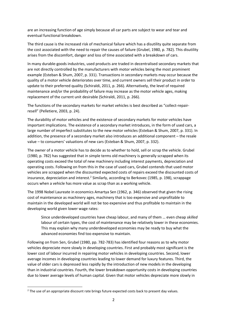are an increasing function of age simply because all car parts are subject to wear and tear and eventual functional breakdown.

The third cause is the increased risk of mechanical failure which has a disutility quite separate from the cost associated with the need to repair the causes of failure (Grubel, 1980, p. 782). This disutility arises from the discomfort, danger and loss of time associated with a breakdown of cars.

In many durable-goods industries, used products are traded in decentralised secondary markets that are not directly controlled by the manufacturers with motor vehicles being the most prominent example (Esteban & Shum, 2007, p. 331). Transactions in secondary markets may occur because the quality of a motor vehicle deteriorates over time, and current owners sell their product in order to update to their preferred quality (Schiraldi, 2011, p. 266). Alternatively, the level of required maintenance and/or the probability of failure may increase as the motor vehicle ages, making replacement of the current unit desirable (Schiraldi, 2011, p. 266).

The functions of the secondary markets for market vehicles is best described as "collect-repairresell" (Pelletiere, 2003, p. 24).

The durability of motor vehicles and the existence of secondary markets for motor vehicles have important implications. The existence of a secondary market introduces, in the form of used cars, a large number of imperfect substitutes to the new motor vehicles (Esteban & Shum, 2007, p. 331). In addition, the presence of a secondary market also introduces an additional component – the resale value – to consumers' valuations of new cars (Esteban & Shum, 2007, p. 332).

The owner of a motor vehicle has to decide as to whether to hold, sell or scrap the vehicle. Grubel (1980, p. 782) has suggested that in simple terms old machinery is generally scrapped when its operating costs exceed the total of new machinery including interest payments, depreciation and operating costs. Following on from this in the case of used cars, Grubel contends that used motor vehicles are scrapped when the discounted expected costs of repairs exceed the discounted costs of insurance, depreciation and interest.<sup>2</sup> Similarly, according to Berkovec (1985, p. 198), scrappage occurs when a vehicle has more value as scrap than as a working vehicle.

The 1998 Nobel Laureate in economics Amartya Sen (1962, p. 346) observed that given the rising cost of maintenance as machinery ages, machinery that is too expensive and unprofitable to maintain in the developed world will not be too expensive and thus profitable to maintain in the developing world given lower wage rates:

Since underdeveloped countries have cheap labour, and many of them … even cheap *skilled* labour of certain types, the cost of maintenance may be relatively lower in these economies. This may explain why many underdeveloped economies may be ready to buy what the advanced economies find too expensive to maintain.

Following on from Sen, Grubel (1980, pp. 782-783) has identified four reasons as to why motor vehicles depreciate more slowly in developing countries. First and probably most significant is the lower cost of labour incurred in repairing motor vehicles in developing countries. Second, lower average incomes in developing countries leading to lower demand for luxury features. Third, the value of older cars is depressed less rapidly by the introduction of new models in the developing than in industrial countries. Fourth, the lower breakdown opportunity costs in developing countries due to lower average levels of human capital. Given that motor vehicles depreciate more slowly in

**.** 

<sup>&</sup>lt;sup>2</sup> The use of an appropriate discount rate brings future expected costs back to present day values.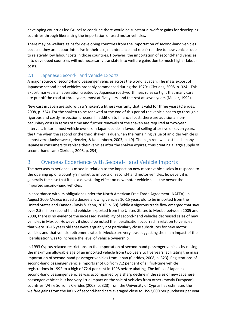developing countries led Grubel to conclude there would be substantial welfare gains for developing countries through liberalising the importation of used motor vehicles.

There may be welfare gains for developing countries from the importation of second-hand vehicles because they are labour-intensive in their use, maintenance and repair relative to new vehicles due to relatively low labour costs in those countries. However, the importation of second-hand vehicles into developed countries will not necessarily translate into welfare gains due to much higher labour costs.

#### <span id="page-13-0"></span>2.1 Japanese Second-Hand Vehicle Exports

A major source of second-hand passenger vehicles across the world is Japan. The mass export of Japanese second-hand vehicles probably commenced during the 1970s (Clerides, 2008, p. 324). This export market is an aberration created by Japanese road-worthiness rules so tight that many cars are put off the road at three years, most at five years, and the rest at seven years (Mellor, 1999).

New cars in Japan are sold with a 'shaken', a fitness warranty that is valid for three years (Clerides, 2008, p. 324). For the shaken to be renewed at the end of this period the vehicle has to go through a rigorous and costly inspection process. In addition to financial cost, there are additional nonpecuniary costs in terms of time and further renewals of the shaken are required at two-year intervals. In turn, most vehicle owners in Japan decide in favour of selling after five or seven years, the time when the second or the third shaken is due when the remaining value of an older vehicle is almost zero (Janischweski, Henzler, & Kahlenborn, 2003, p. 49). The high renewal cost leads many Japanese consumers to replace their vehicles after the shaken expires, thus creating a large supply of second-hand cars (Clerides, 2008, p. 234).

## <span id="page-13-1"></span>3 Overseas Experience with Second-Hand Vehicle Imports

The overseas experience is mixed in relation to the impact on new motor vehicle sales in response to the opening up of a country's market to imports of second-hand motor vehicles, however, it is generally the case that it has a devastating effect on new motor vehicle sales the newer the imported second-hand vehicles.

In accordance with its obligations under the North American Free Trade Agreement (NAFTA), in August 2005 Mexico issued a decree allowing vehicles 10-15 years old to be imported from the United States and Canada (Davis & Kahn, 2010, p. 59). While a vigorous trade flow emerged that saw over 2.5 million second-hand vehicles exported from the United States to Mexico between 2005 and 2008, there is no evidence the increased availability of second-hand vehicles decreased sales of new vehicles in Mexico. However, it should be noted the liberalisation occurred in relation to vehicles that were 10-15 years old that were arguably not particularly close substitutes for new motor vehicles and that vehicle retirement rates in Mexico are very low, suggesting the main impact of the liberalisation was to increase the level of vehicle ownership.

In 1993 Cyprus relaxed restrictions on the importation of second-hand passenger vehicles by raising the maximum allowable age of an imported vehicle from two years to five years facilitating the mass importation of second-hand passenger vehicles from Japan (Clerides, 2008, p. 323). Registrations of second-hand passenger vehicle imports shot up from 7.2 per cent of all first-time vehicle registrations in 1992 to a high of 72.4 per cent in 1998 before abating. The influx of Japanese second-hand passenger vehicles was accompanied by a sharp decline in the sales of new Japanese passenger vehicles but had very little impact on the sale of vehicles from other (mostly European) countries. While Sofronis Clerides (2008, p. 323) from the University of Cyprus has estimated the welfare gains from the influx of second-hand cars averaged close to US\$2,000 per purchaser per year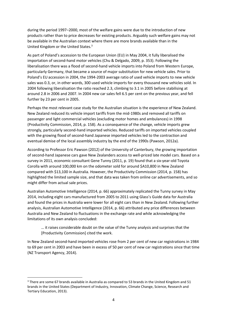during the period 1997–2000, most of the welfare gains were due to the introduction of new products rather than to price decreases for existing products. Arguably such welfare gains may not be available in the Australian context where there are more brands available than in the United Kingdom or the United States.<sup>3</sup>

As part of Poland's accession to the European Union (EU) in May 2004, it fully liberalised the importation of second-hand motor vehicles (Chu & Delgado, 2009, p. 353). Following the liberalisation there was a flood of second-hand vehicle imports into Poland from Western Europe, particularly Germany, that became a source of major substitution for new vehicle sales. Prior to Poland's EU accession in 2004, the 1994-2003 average ratio of used vehicle imports to new vehicle sales was 0.3, or, in other words, 300 used vehicle imports for every thousand new vehicles sold. In 2004 following liberalisation the ratio reached 2.3, climbing to 3.1 in 2005 before stabilising at around 2.8 in 2006 and 2007. In 2004 new car sales fell 6.5 per cent on the previous year, and fell further by 23 per cent in 2005.

Perhaps the most relevant case study for the Australian situation is the experience of New Zealand. New Zealand reduced its vehicle import tariffs from the mid-1980s and removed all tariffs on passenger and light commercial vehicles (excluding motor homes and ambulances) in 1998 (Productivity Commission, 2014, p. 158). As a consequence of the change, vehicle imports grew strongly, particularly second-hand imported vehicles. Reduced tariffs on imported vehicles coupled with the growing flood of second-hand Japanese imported vehicles led to the contraction and eventual demise of the local assembly industry by the end of the 1990s (Pawson, 2012a).

According to Professor Eric Pawson (2012) of the University of Canterbury, the growing importation of second-hand Japanese cars gave New Zealanders access to well-priced late model cars. Based on a survey in 2011, economic consultant Gene Tunny (2011, p. 19) found that a six-year-old Toyota Corolla with around 100,000 km on the odometer sold for around \$A10,800 in New Zealand compared with \$13,100 in Australia. However, the Productivity Commission (2014, p. 158) has highlighted the limited sample size, and that data was taken from online car advertisements, and so might differ from actual sale prices.

Australian Automotive Intelligence (2014, p. 66) approximately replicated the Tunny survey in May 2014, including eight cars manufactured from 2005 to 2011 using Glass's Guide data for Australia and found the prices in Australia were lower for all eight cars than in New Zealand. Following further analysis, Australian Automotive Intelligence (2014, p. 66) attributed any price differences between Australia and New Zealand to fluctuations in the exchange rate and while acknowledging the limitations of its own analysis concluded:

… it raises considerable doubt on the value of the Tunny analysis and surprises that the [Productivity Commission] cited the work.

In New Zealand second-hand imported vehicles rose from 2 per cent of new car registrations in 1984 to 69 per cent in 2003 and have been in excess of 50 per cent of new car registrations since that time (NZ Transport Agency, 2014).

**.** 

<sup>&</sup>lt;sup>3</sup> There are some 67 brands available in Australia as compared to 53 brands in the United Kingdom and 51 brands in the United States (Department of Industry, Innovation, Climate Change, Science, Research and Tertiary Education, 2013).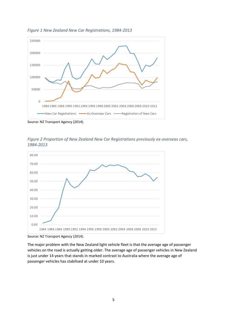

<span id="page-15-0"></span>*Figure 1 New Zealand New Car Registrations, 1984-2013*

Source: NZ Transport Agency (2014).



<span id="page-15-1"></span>*Figure 2 Proportion of New Zealand New Car Registrations previously ex-overseas cars, 1984-2013*

Source: NZ Transport Agency (2014).

The major problem with the New Zealand light vehicle fleet is that the average age of passenger vehicles on the road is actually getting older. The average age of passenger vehicles in New Zealand is just under 14 years that stands in marked contrast to Australia where the average age of passenger vehicles has stabilised at under 10 years.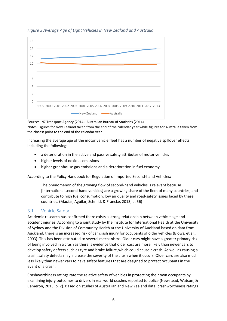

<span id="page-16-1"></span>*Figure 3 Average Age of Light Vehicles in New Zealand and Australia*

Sources: NZ Transport Agency (2014); Australian Bureau of Statistics (2014).

Notes: Figures for New Zealand taken from the end of the calendar year while figures for Australia taken from the closest point to the end of the calendar year.

Increasing the average age of the motor vehicle fleet has a number of negative spillover effects, including the following:

- a deterioration in the active and passive safety attributes of motor vehicles
- higher levels of noxious emissions
- higher greenhouse gas emissions and a deterioration in fuel economy.

According to the Policy Handbook for Regulation of Imported Second-hand Vehicles:

The phenomenon of the growing flow of second-hand vehicles is relevant because [international second-hand vehicles] are a growing share of the fleet of many countries, and contribute to high fuel consumption, low air quality and road-safety issues faced by these countries. (Macias, Aguilar, Schmid, & Francke, 2013, p. 56)

#### <span id="page-16-0"></span>3.1 Vehicle Safety

Academic research has confirmed there exists a strong relationship between vehicle age and accident injuries. According to a joint study by the Institute for International Health at the University of Sydney and the Division of Community Health at the University of Auckland based on data from Auckland, there is an increased risk of car crash injury for occupants of older vehicles (Blows, et al., 2003). This has been attributed to several mechanisms. Older cars might have a greater primary risk of being involved in a crash as there is evidence that older cars are more likely than newer cars to develop safety defects such as tyre and brake failure,which could cause a crash. As well as causing a crash, safety defects may increase the severity of the crash when it occurs. Older cars are also much less likely than newer cars to have safety features that are designed to protect occupants in the event of a crash.

Crashworthiness ratings rate the relative safety of vehicles in protecting their own occupants by examining injury outcomes to drivers in real world crashes reported to police (Newstead, Watson, & Cameron, 2013, p. 2). Based on studies of Australian and New Zealand data, crashworthiness ratings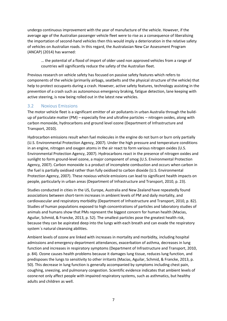undergo continuous improvement with the year of manufacture of the vehicle. However, if the average age of the Australian passenger vehicle fleet were to rise as a consequence of liberalising the importation of second-hand vehicles then this would imply a deterioration in the relative safety of vehicles on Australian roads. In this regard, the Australasian New Car Assessment Program (ANCAP) (2014) has warned:

… the potential of a flood of import of older used non approved vehicles from a range of countries will significantly reduce the safety of the Australian fleet.

Previous research on vehicle safety has focused on passive safety features which refers to components of the vehicle (primarily airbags, seatbelts and the physical structure of the vehicle) that help to protect occupants during a crash. However, active safety features, technology assisting in the prevention of a crash such as autonomous emergency braking, fatigue detection, lane keeping with active steering, is now being rolled out in the latest new vehicles.

#### <span id="page-17-0"></span>3.2 Noxious Emissions

The motor vehicle fleet is a significant emitter of air pollutants in urban Australia through the buildup of particulate matter (PM) – especially fine and ultrafine particles – nitrogen oxides, along with carbon monoxide, hydrocarbons and ground level ozone (Department of Infrastructure and Transport, 2010).

Hydrocarbon emissions result when fuel molecules in the engine do not burn or burn only partially (U.S. Environmental Protection Agency, 2007). Under the high pressure and temperature conditions in an engine, nitrogen and oxygen atoms in the air react to form various nitrogen oxides (U.S. Environmental Protection Agency, 2007). Hydrocarbons react in the presence of nitrogen oxides and sunlight to form ground-level ozone, a major component of smog (U.S. Environmental Protection Agency, 2007). Carbon monoxide is a product of incomplete combustion and occurs when carbon in the fuel is partially oxidised rather than fully oxidised to carbon dioxide (U.S. Environmental Protection Agency, 2007). These noxious vehicle emissions can lead to significant health impacts on people, particularly in urban areas (Department of Infrastructure and Transport, 2010, p. 23).

Studies conducted in cities in the US, Europe, Australia and New Zealand have repeatedly found associations between short-term increases in ambient levels of PM and daily mortality, and cardiovascular and respiratory morbidity (Department of Infrastructure and Transport, 2010, p. 82). Studies of human populations exposed to high concentrations of particles and laboratory studies of animals and humans show that PMs represent the biggest concern for human health (Macias, Aguilar, Schmid, & Francke, 2013, p. 52). The smallest particles pose the greatest health risk, because they can be aspirated deep into the lungs with each breath and can evade the respiratory system´s natural cleansing abilities.

Ambient levels of ozone are linked with increases in mortality and morbidity, including hospital admissions and emergency department attendances, exacerbation of asthma, decreases in lung function and increases in respiratory symptoms (Department of Infrastructure and Transport, 2010, p. 84). Ozone causes health problems because it damages lung tissue, reduces lung function, and predisposes the lungs to sensitivity to other irritants (Macias, Aguilar, Schmid, & Francke, 2013, p. 50). This decrease in lung function is generally accompanied by symptoms including chest pain, coughing, sneezing, and pulmonary congestion. Scientific evidence indicates that ambient levels of ozonenot only affect people with impaired respiratory systems, such as asthmatics, but healthy adults and children as well.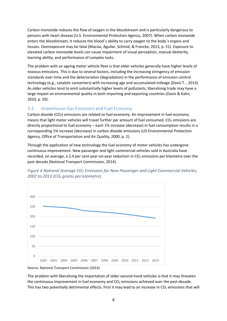Carbon monoxide reduces the flow of oxygen in the bloodstream and is particularly dangerous to persons with heart disease (U.S. Environmental Protection Agency, 2007). When carbon monoxide enters the bloodstream, it reduces the blood's ability to carry oxygen to the body´s organs and tissues. Overexposure may be fatal (Macias, Aguilar, Schmid, & Francke, 2013, p. 51). Exposure to elevated carbon monoxide levels can cause impairment of visual perception, manual dexterity, learning ability, and performance of complex tasks.

The problem with an ageing motor vehicle fleet is that older vehicles generally have higher levels of noxious emissions. This is due to several factors, including the increasing stringency of emission standards over time and the deterioration (degradation) in the performance of emission control technology (e.g., catalytic converters) with increasing age and accumulated mileage (Davis T. , 2013). As older vehicles tend to emit substantially higher levels of pollutants, liberalising trade may have a large impact on environmental quality in both importing and exporting countries (Davis & Kahn, 2010, p. 59).

#### <span id="page-18-0"></span>3.3 Greenhouse Gas Emissions and Fuel Economy

Carbon dioxide (CO2) emissions are related to fuel-economy. An improvement in fuel-economy means that light motor vehicles will travel further per amount of fuel consumed.  $CO<sub>2</sub>$  emissions are directly proportional to fuel economy – each 1% increase (decrease) in fuel consumption results in a corresponding 1% increase (decrease) in carbon dioxide emissions (US Environmental Protection Agency, Office of Transportation and Air Quality, 2000, p. 2).

Through the application of new technology the fuel economy of motor vehicles has undergone continuous improvement. New passenger and light commercial vehicles sold in Australia have recorded, on average, a 2.4 per cent year-on-year reduction in  $CO<sub>2</sub>$  emissions per kilometre over the past decade (National Transport Commission, 2014).



<span id="page-18-1"></span>*Figure 4 National Average CO<sup>2</sup> Emissions for New Passenger and Light Commercial Vehicles, 2002 to 2013 (CO<sup>2</sup> grams per kilometre)*

Source: National Transport Commission (2014).

The problem with liberalising the importation of older second-hand vehicles is that it may threaten the continuous improvement in fuel economy and  $CO<sub>2</sub>$  emissions achieved over the past decade. This has two potentially detrimental effects. First it may lead to an increase in  $CO<sub>2</sub>$  emissions that will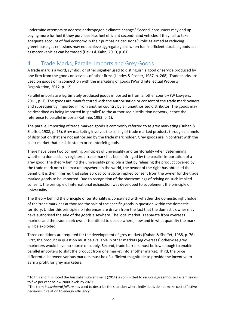undermine attempts to address anthropogenic climate change.<sup>4</sup> Second, consumers may end up paying more for fuel if they purchase less fuel efficient second-hand vehicles if they fail to take adequate account of fuel economy in their purchasing decisions.<sup>5</sup> Policies aimed at reducing greenhouse gas emissions may not achieve aggregate gains when fuel inefficient durable goods such as motor vehicles can be traded (Davis & Kahn, 2010, p. 61).

# <span id="page-19-0"></span>4 Trade Marks, Parallel Imports and Grey Goods

A trade mark is a word, symbol, or other signifier used to distinguish a good or service produced by one firm from the goods or services of other firms (Landes & Posner, 1987, p. 268). Trade marks are used on goods or in connection with the marketing of goods (World Intellectual Property Organization, 2012, p. 12).

Parallel imports are legitimately produced goods imported in from another country (W Lawyers, 2011, p. 1). The goods are manufactured with the authorisation or consent of the trade mark owners and subsequently imported in from another country by an unauthorised distributor. The goods may be described as being imported in 'parallel' to the authorised distribution network, hence the reference to parallel imports (Rothnie, 1993, p. 1).

The parallel importing of trade marked goods is commonly referred to as grey marketing (Duhan & Sheffet, 1988, p. 76). Grey marketing involves the selling of trade marked products through channels of distribution that are not authorised by the trade mark holder. Grey goods are in contrast with the black market that deals in stolen or counterfeit goods.

There have been two competing principles of universality and territoriality when determining whether a domestically registered trade mark has been infringed by the parallel importation of a grey good. The theory behind the universality principle is that by releasing the product covered by the trade mark onto the market anywhere in the world, the owner of the right has obtained the benefit. It is then inferred that sales abroad constitute implied consent from the owner for the trade marked goods to be imported. Due to recognition of the shortcomings of relying on such implied consent, the principle of international exhaustion was developed to supplement the principle of universality.

The theory behind the principle of territoriality is concerned with whether the domestic right holder of the trade mark has authorised the sale of the specific goods in question within the domestic territory. Under this principle no inferences are drawn from the fact that the domestic owner may have authorised the sale of the goods elsewhere. The local market is separate from overseas markets and the trade mark owner is entitled to decide where, how and in what quantity the mark will be exploited.

Three conditions are required for the development of grey markets (Duhan & Sheffet, 1988, p. 76). First, the product in question must be available in other markets (eg overseas) otherwise grey marketers would have no source of supply. Second, trade barriers must be low enough to enable parallel importers to shift the product from one market into another market. Third, the price differential between various markets must be of sufficient magnitude to provide the incentive to earn a profit for grey marketers.

**.** 

<sup>4</sup> To this end it is noted the Australian Government (2014) is committed to reducing greenhouse gas emissions to five per cent below 2000 levels by 2020.

<sup>5</sup> The term *behavioural failure* has used to describe the situation where individuals do not make cost effective decisions in relation to energy efficiency.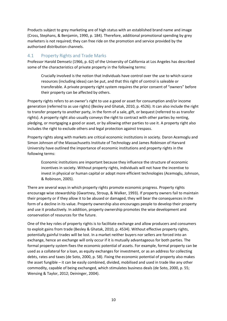Products subject to grey marketing are of high status with an established brand name and image (Cross, Stephans, & Benjamin, 1990, p. 184). Therefore, additional promotional spending by grey marketers is not required; they can free ride on the promotion and service provided by the authorised distribution channels.

#### <span id="page-20-0"></span>4.1 Property Rights and Trade Marks

Professor Harold Demsetz (1966, p. 62) of the University of California at Los Angeles has described some of the characteristics of private property in the following terms:

Crucially involved is the notion that individuals have control over the use to which scarce resources (including ideas) can be put, and that this right of control is saleable or transferable. A private property right system requires the prior consent of "owners" before their property can be affected by others.

Property rights refers to an owner's right to use a good or asset for consumption and/or income generation (referred to as use rights) (Besley and Ghatak, 2010, p. 4526). It can also include the right to transfer property to another party, in the form of a sale, gift, or bequest (referred to as transfer rights). A property right also usually conveys the right to contract with other parties by renting, pledging, or mortgaging a good or asset, or by allowing other parties to use it. A property right also includes the right to exclude others and legal protection against trespass.

Property rights along with markets are critical economic institutions in society. Daron Acemoglu and Simon Johnson of the Massachusetts Institute of Technology and James Robinson of Harvard University have outlined the importance of economic institutions and property rights in the following terms:

Economic institutions are important because they influence the structure of economic incentives in society. Without property rights, individuals will not have the incentive to invest in physical or human capital or adopt more efficient technologies (Acemoglu, Johnson, & Robinson, 2005).

There are several ways in which property rights promote economic progress. Property rights encourage wise stewardship (Gwartney, Stroup, & Walker, 1993). If property owners fail to maintain their property or if they allow it to be abused or damaged, they will bear the consequences in the form of a decline in its value. Property ownership also encourages people to develop their property and use it productively. In addition, property ownership promotes the wise development and conservation of resources for the future.

One of the key roles of property rights is to facilitate exchange and allow producers and consumers to exploit gains from trade (Besley & Ghatak, 2010, p. 4534). Without effective property rights, potentially gainful trades will be lost. In a market neither buyers nor sellers are forced into an exchange, hence an exchange will only occur if it is mutually advantageous for both parties. The formal property system fixes the economic potential of assets. For example, formal property can be used as a collateral for a loan, as equity exchanges for investment, or as an address for collecting debts, rates and taxes (de Soto, 2000, p. 58). Fixing the economic potential of property also makes the asset fungible – it can be easily combined, divided, mobilised and used in trade like any other commodity, capable of being exchanged, which stimulates business deals (de Soto, 2000, p. 55; Wensing & Taylor, 2012; Deininger, 2004).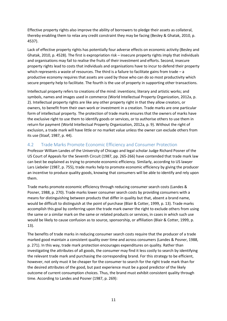Effective property rights also improve the ability of borrowers to pledge their assets as collateral, thereby enabling them to relax any credit constraint they may be facing (Besley & Ghatak, 2010, p. 4537).

Lack of effective property rights has potentially four adverse effects on economic activity (Besley and Ghatak, 2010, p. 4528). The first is expropriation risk – insecure property rights imply that individuals and organisations may fail to realise the fruits of their investment and efforts. Second, insecure property rights lead to costs that individuals and organisations have to incur to defend their property which represents a waste of resources. The third is a failure to facilitate gains from trade – a productive economy requires that assets are used by those who can do so most productivity which secure property help to facilitate. The fourth is the use of property in supporting other transactions.

Intellectual property refers to creations of the mind: inventions; literary and artistic works; and symbols, names and images used in commerce (World Intellectual Property Organization, 2012a, p. 2). Intellectual property rights are like any other property right in that they allow creators, or owners, to benefit from their own work or investment in a creation. Trade marks are one particular form of intellectual property. The protection of trade marks ensures that the owners of marks have the exclusive right to use them to identify goods or services, or to authorise others to use them in return for payment (World Intellectual Property Organization, 2012a, p. 9). Without the right of exclusion, a trade mark will have little or no market value unless the owner can exclude others from its use (Staaf, 1987, p. 44).

#### <span id="page-21-0"></span>4.2 Trade Marks Promote Economic Efficiency and Consumer Protection

Professor William Landes of the University of Chicago and legal scholar Judge Richard Posner of the US Court of Appeals for the Seventh Circuit (1987, pp. 265-266) have contended that trade mark law can best be explained as trying to promote economic efficiency. Similarly, according to US lawyer Lars Liebeler (1987, p. 755), trade marks help to promote economic efficiency by giving the producer an incentive to produce quality goods, knowing that consumers will be able to identify and rely upon them.

Trade marks promote economic efficiency through reducing consumer search costs (Landes & Posner, 1988, p. 270). Trade marks lower consumer search costs by providing consumers with a means for distinguishing between products that differ in quality but that, absent a brand name, would be difficult to distinguish at the point of purchase (Blair & Cotter, 1999, p. 13). Trade marks accomplish this goal by conferring upon the trade mark owner the right to exclude others from using the same or a similar mark on the same or related products or services, in cases in which such use would be likely to cause confusion as to source, sponsorship, or affiliation (Blair & Cotter, 1999, p. 13).

The benefits of trade marks in reducing consumer search costs require that the producer of a trade marked good maintain a consistent quality over time and across consumers (Landes & Posner, 1988, p. 271). In this way, trade mark protection encourages expenditures on quality. Rather than investigating the attributes of all goods, the consumer may find it less costly to search by identifying the relevant trade mark and purchasing the corresponding brand. For this strategy to be efficient, however, not only must it be cheaper for the consumer to search for the right trade mark than for the desired attributes of the good, but past experience must be a good predictor of the likely outcome of current consumption choices. Thus, the brand must exhibit consistent quality through time. According to Landes and Posner (1987, p. 269):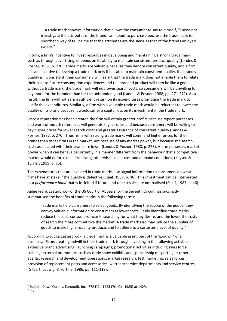… a trade mark conveys information that allows the consumer to say to himself, "I need not investigate the attributes of the brand I am about to purchase because the trade mark is a shorthand way of telling me that the attributes are the same as that of the brand I enjoyed earlier."

In turn, a firm's incentive to invest resources in developing and maintaining a strong trade mark, such as through advertising, depends on its ability to maintain consistent product quality (Landes & Posner, 1987, p. 270). Trade marks are valuable because they denote consistent quality, and a firm has an incentive to develop a trade mark only if it is able to maintain consistent quality. If a brand's quality is inconsistent, then consumers will learn that the trade mark does not enable them to relate their past to future consumption experiences and the branded product will then be like a good without a trade mark; the trade mark will not lower search costs, so consumers will be unwilling to pay more for the branded than for the unbranded good (Landes & Posner, 1988, pp. 271-272). As a result, the firm will not earn a sufficient return on its expenditures promoting the trade mark to justify the expenditures. Similarly, a firm with a valuable trade mark would be reluctant to lower the quality of its brand because it would suffer a capital loss on its investment in the trade mark.

Once a reputation has been created the firm will obtain greater profits because repeat purchases and word-of-mouth references will generate higher sales and because consumers will be willing to pay higher prices for lower search costs and greater assurance of consistent quality (Landes & Posner, 1987, p. 270). Thus firms with strong trade marks will command higher prices for their brands than other firms in the market, not because of any market power, but because the search costs associated with their brand are lower (Landes & Posner, 1988, p. 278). A firm possesses market power when it can behave persistently in a manner different from the behaviour that a competitive market would enforce on a firm facing otherwise similar cost and demand conditions. (Kaysen & Turner, 1959, p. 75).

The expenditures that are invested in trade marks also signal information to consumers on what firms have at stake if the quality is defective (Staaf, 1987, p. 46). This investment can be interpreted as a *performance bond* that is forfeited if future and repeat sales are not realised (Staaf, 1987, p. 46).

Judge Frank Easterbrook of the US Court of Appeals for the Seventh Circuit has succinctly summarised the benefits of trade marks in the following terms:

Trade marks help consumers to select goods. By identifying the source of the goods, they convey valuable information to consumers at lower costs. Easily identified trade marks reduce the costs consumers incur in searching for what they desire, and the lower the costs of search the more competitive the market. A trade mark also may induce the supplier of goods to make higher quality products and to adhere to a consistent level of quality.<sup>6</sup>

According to Judge Easterbrook, a trade mark is a valuable asset, part of the 'goodwill' of a business. 7 Firms create goodwill in their trade mark through investing in the following activities: extensive brand advertising; launching campaigns; promotional activities including sales force training; external promotions such as trade show exhibits and sponsorship of sporting or other events; research and development operations; market research; test marketing; sales forces; provision of replacement parts and accessories; warranty service departments and service centres (Gilbert, Ludwig, & Fortine, 1986, pp. 111-112).

6 Scandia Down Corp. v. Euroquilt, Inc., 772 F.2d 1423 (7th Cir. 1985) at 1429.

**.** 

<sup>7</sup> ibid.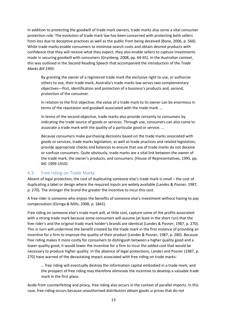In addition to protecting the goodwill of trade mark owners, trade marks also serve a vital consumer protection role. The evolution of trade mark law has been concerned with protecting both sellers from loss due to deceptive practices as well as the public from being deceived (Bone, 2006, p. 560). While trade marks enable consumers to minimise search costs and obtain desired products with confidence that they will receive what they expect, they also enable sellers to capture investments made in securing goodwill with consumers (Grynberg, 2008, pp. 64-65). In the Australian context, this was outlined in the Second Reading Speech that accompanied the introduction of the *Trade Marks Bill 1995*:

By granting the owner of a registered trade mark the exclusive right to use, or authorise others to use, their trade mark, Australia's trade marks law serves two complementary objectives—first, identification and protection of a business's products and, second, protection of the consumer.

In relation to the first objective, the value of a trade mark to its owner can be enormous in terms of the reputation and goodwill associated with the trade mark. …

In terms of the second objective, trade marks also provide certainty to consumers by indicating the trade source of goods or services. Through use, consumers can also come to associate a trade mark with the quality of a particular good or service. …

Because consumers make purchasing decisions based on the trade marks associated with goods or services, trade marks legislation, as well as trade practices and related legislation, provide appropriate checks and balances to ensure that use of trade marks do not deceive or confuse consumers. Quite obviously, trade marks are a vital link between the owner of the trade mark, the owner's products, and consumers. (House of Representatives, 1995, pp. MC 1909-1910)

#### <span id="page-23-0"></span>4.3 Free riding on Trade Marks

Absent of legal protection, the cost of duplicating someone else's trade mark is small – the cost of duplicating a label or design where the required inputs are widely available (Landes & Posner, 1987, p. 270). The stronger the brand the greater the incentive to incur this cost.

A free rider is someone who enjoys the benefits of someone else's investment without having to pay compensation (Elzinga & Mills, 2008, p. 1842).

Free riding on someone else's trade mark will, at little cost, capture some of the profits associated with a strong trade mark because some consumers will assume (at least in the short run) that the free rider's and the original trade mark holder's brands are identical (Landes & Posner, 1987, p. 270). This in turn will undermine the benefit created by the trade mark in the first instance of providing an incentive for a firm to improve the quality of their product (Landes & Posner, 1987, p. 280). Because free riding makes it more costly for consumers to distinguish between a higher quality good and a lower quality good, it would lower the incentive for a firm to incur the added cost that would be necessary to produce higher quality. In the absence of legal protections, Landes and Posner (1987, p. 270) have warned of the devastating impact associated with free riding on trade marks:

… free riding will eventually destroy the information capital embodied in a trade mark, and the prospect of free riding may therefore eliminate the incentive to develop a valuable trade mark in the first place.

Aside from counterfeiting and piracy, free riding also occurs in the context of parallel imports. In this case, free riding occurs because unauthorised distributors obtain goods at prices that do not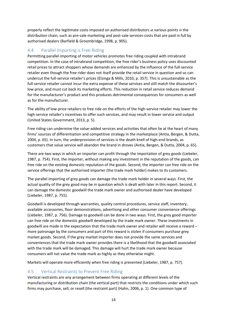properly reflect the legitimate costs imposed on authorised distributors at various points in the distribution chain, such as pre-sale marketing and post-sale services-costs that are paid in full by authorised dealers (Barfield & Groombridge, 1998, p. 905).

#### <span id="page-24-0"></span>4.4 Parallel Importing is Free Riding

Permitting parallel importing of motor vehicles promotes free riding coupled with intrabrand competition. In the case of intrabrand competition, the free rider's business policy uses discounted retail prices to attract shoppers whose demands are enhanced by the influence of the full-service retailer even though the free rider does not itself provide the retail service in question and so can undercut the full-service retailer's prices (Elzinga & Mills, 2010, p. 357). This is unsustainable as the full-service retailer cannot incur the extra expense of these services and still match the discounter's low price, and must cut back its marketing efforts. This reduction in retail service reduces demand for the manufacturer's product and this produces detrimental consequences for consumers as well as for the manufacturer.

The ability of low-price retailers to free ride on the efforts of the high-service retailer may lower the high-service retailer's incentives to offer such services, and may result in lower service and output (United States Government, 2013, p. 5).

Free riding can undermine the value-added services and activities that often lie at the heart of many firms' sources of differentiation and competitive strategy in the marketplace (Antia, Bergen, & Dutta, 2004, p. 65). In turn, the underprovision of services is the death knell of high-end brands, as customers that value service will abandon the brand in droves (Antia, Bergen, & Dutta, 2004, p. 65).

There are two ways in which an importer can profit through the importation of grey goods (Liebeler, 1987, p. 754). First, the importer, without making any investment in the reputation of the goods, can free ride on the existing domestic reputation of the goods. Second, the importer can free ride on the service offerings that the authorised importer (the trade mark holder) makes to its customers.

The parallel importing of grey goods can damage the trade mark holder in several ways. First, the actual quality of the grey good may be in question which is dealt with later in this report. Second, it can damage the domestic goodwill the trade mark owner and authorised dealer have developed (Liebeler, 1987, p. 755).

Goodwill is developed through warranties, quality control procedures, service staff, inventory, available accessories, floor demonstrations, advertising and other consumer convenience offerings (Liebeler, 1987, p. 756). Damage to goodwill can be done in two ways. First, the grey good importer can free ride on the domestic goodwill developed by the trade mark owner. These investments in goodwill are made in the expectation that the trade mark owner and retailer will receive a reward – more patronage by the consumers and part of this reward is stolen if consumers purchase grey market goods. Second, if the grey market importer does not provide the same services and conveniences that the trade mark owner provides there is a likelihood that the goodwill associated with the trade mark will be damaged. This damage will hurt the trade mark owner because consumers will not value the trade mark as highly as they otherwise might.

Markets will operate more efficiently when free riding is prevented (Liebeler, 1987, p. 757).

#### <span id="page-24-1"></span>4.5 Vertical Restraints to Prevent Free Riding

Vertical restraints are any arrangement between firms operating at different levels of the manufacturing or distribution chain (the vertical part) that restricts the conditions under which such firms may purchase, sell, or resell (the restraint part) (Hahn, 2006, p. 1). One common type of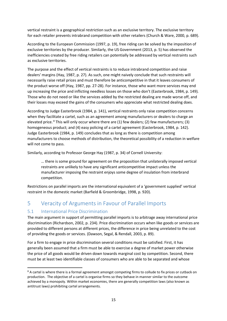vertical restraint is a geographical restriction such as an exclusive territory. The exclusive territory for each retailer prevents intrabrand competition with other retailers (Church & Ware, 2000, p. 689).

According to the European Commission (1997, p. 19), free riding can be solved by the imposition of exclusive territories by the producer. Similarly, the US Government (2013, p. 5) has observed the inefficiencies created by free riding retailers can potentially be addressed by vertical restraints such as exclusive territories.

The purpose and the effect of vertical restraints is to reduce intrabrand competition and raise dealers' margins (Hay, 1987, p. 27). As such, one might naively conclude that such restraints will necessarily raise retail prices and must therefore be anticompetitive in that it leaves consumers of the product worse off (Hay, 1987, pp. 27-28). For instance, those who want more services may end up increasing the price and inflicting needless losses on those who don't (Easterbrook, 1984, p. 149)*.*  Those who do not need or like the services added by the restricted dealing are made worse off, and their losses may exceed the gains of the consumers who appreciate what restricted dealing does.

According to Judge Easterbrook (1984, p. 141), vertical restraints only raise competition concerns when they facilitate a cartel, such as an agreement among manufacturers or dealers to charge an elevated price.  $8$  This will only occur where there are (1) few dealers; (2) few manufacturers; (3) homogeneous product; and (4) easy policing of a cartel agreement (Easterbrook, 1984, p. 142). Judge Easterbrook (1984, p. 149) concludes that as long as there is competition among manufacturers to choose methods of distribution, the theoretical possibility of a reduction in welfare will not come to pass.

Similarly, according to Professor George Hay (1987, p. 34) of Cornell University:

… there is some ground for agreement on the proposition that unilaterally imposed vertical restraints are unlikely to have any significant anticompetitive impact unless the manufacturer imposing the restraint enjoys some degree of insulation from interbrand competition.

Restrictions on parallel imports are the international equivalent of a 'government supplied' vertical restraint in the domestic market (Barfield & Groombridge, 1998, p. 920).

# <span id="page-25-0"></span>5 Veracity of Arguments in Favour of Parallel Imports

#### <span id="page-25-1"></span>5.1 International Price Discrimination

1

The main argument in support of permitting parallel imports is to arbitrage away international price discrimination (Richardson, 2002, p. 234). Price discrimination occurs when like goods or services are provided to different persons at different prices, the difference in price being unrelated to the cost of providing the goods or services. (Dawson, Segal, & Rendall, 2003, p. 89).

For a firm to engage in price discrimination several conditions must be satisfied. First, it has generally been assumed that a firm must be able to exercise a degree of market power otherwise the price of all goods would be driven down towards marginal cost by competition. Second, there must be at least two identifiable classes of consumers who are able to be separated and whose

<sup>&</sup>lt;sup>8</sup> A cartel is where there is a formal agreement amongst competing firms to collude to fix prices or cutback on production. The objective of a cartel is organise firms so they behave in manner similar to the outcome achieved by a monopoly. Within market economies, there are generally competition laws (also known as antitrust laws) prohibiting cartel arrangements.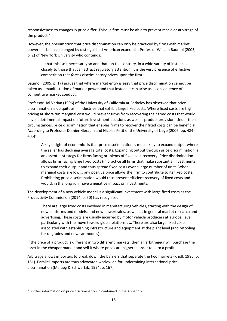responsiveness to changes in price differ. Third, a firm must be able to prevent resale or arbitrage of the product.<sup>9</sup>

However, the presumption that price discrimination can only be practiced by firms with market power has been challenged by distinguished American economist Professor William Baumol (2005, p. 2) of New York University who contends:

... that this isn't necessarily so and that, on the contrary, in a wide variety of instances closely to those that can attract regulatory attention, it is the very presence of effective competition that *forces* discriminatory prices upon the firm.

Baumol (2005, p. 17) argues that where market entry is easy that price discrimination cannot be taken as a manifestation of market power and that instead it can arise as a consequence of competitive market conduct.

Professor Hal Varian (1996) of the University of California at Berkeley has observed that price discrimination is ubiquitous in industries that exhibit large fixed costs. Where fixed costs are high, pricing at short-run marginal cost would prevent firms from recovering their fixed costs that would have a detrimental impact on future investment decisions as well as product provision. Under these circumstances, price discrimination that enables firms to recover their fixed costs can be beneficial. According to Professor Damien Geradin and Nicolas Petit of the University of Liege (2006, pp. 484- 485):

A key insight of economics is that price discrimination is most likely to expand output where the seller has declining average total costs. Expanding output through price discrimination is an essential strategy for firms facing problems of fixed cost recovery. Price discrimination allows firms facing large fixed costs (in practice all firms that make substantial investments) to expand their output and thus spread fixed costs over a large number of units. When marginal costs are low … any positive price allows the firm to contribute to its fixed costs. Prohibiting price discrimination would thus prevent efficient recovery of fixed costs and would, in the long run, have a negative impact on investments.

The development of a new vehicle model is a significant investment with large fixed costs as the Productivity Commission (2014, p. 50) has recognised:

There are large fixed costs involved in manufacturing vehicles, starting with the design of new platforms and models, and new powertrains, as well as in general market research and advertising. These costs are usually incurred by motor vehicle producers at a global level, particularly with the move toward global platforms … There are also large fixed costs associated with establishing infrastructure and equipment at the plant level (and retooling for upgrades and new car models).

If the price of a product is different in two different markets, then an arbitrageur will purchase the asset in the cheaper market and sell it where prices are higher in order to earn a profit.

Arbitrage allows importers to break down the barriers that separate the two markets (Knoll, 1986, p. 151). Parallel imports are thus advocated worldwide for undermining international price discrimination (Malueg & Schwartzb, 1994, p. 167).

**.** 

<sup>&</sup>lt;sup>9</sup> Further information on price discrimination in contained in the Appendix.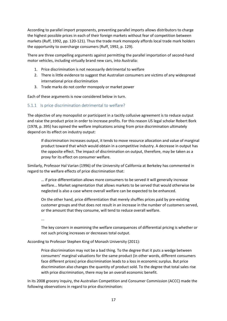According to parallel import proponents, preventing parallel imports allows distributors to charge the highest possible prices in each of their foreign markets without fear of competition between markets (Ruff, 1992, pp. 120-121). Thus the trade mark monopoly affords local trade mark holders the opportunity to overcharge consumers (Ruff, 1992, p. 129).

There are three compelling arguments against permitting the parallel importation of second-hand motor vehicles, including virtually brand new cars, into Australia:

- 1. Price discrimination is not necessarily detrimental to welfare
- 2. There is little evidence to suggest that Australian consumers are victims of any widespread international price discrimination
- 3. Trade marks do not confer monopoly or market power

Each of these arguments is now considered below in turn.

#### <span id="page-27-0"></span>5.1.1 Is price discrimination detrimental to welfare?

The objective of any monopolist or participant in a tacitly collusive agreement is to reduce output and raise the product price in order to increase profits. For this reason US legal scholar Robert Bork (1978, p. 395) has opined the welfare implications arising from price discrimination ultimately depend on its effect on industry output:

If discrimination increases output, it tends to move resource allocation and value of marginal product toward that which would obtain in a competitive industry. A decrease in output has the opposite effect. The impact of discrimination on output, therefore, may be taken as a proxy for its effect on consumer welfare.

Similarly, Professor Hal Varian (1996) of the University of California at Berkeley has commented in regard to the welfare effects of price discrimination that:

… if price differentiation allows more consumers to be served it will generally increase welfare... Market segmentation that allows markets to be served that would otherwise be neglected is also a case where overall welfare can be expected to be enhanced.

On the other hand, price differentiation that merely shuffles prices paid by pre-existing customer groups and that does not result in an increase in the number of customers served, or the amount that they consume, will tend to reduce overall welfare.

...

The key concern in examining the welfare consequences of differential pricing is whether or not such pricing increases or decreases total output.

According to Professor Stephen King of Monash University (2011):

Price discrimination may not be a bad thing. To the degree that it puts a wedge between consumers' marginal valuations for the same product (in other words, different consumers face different prices) price discrimination leads to a loss in economic surplus. But price discrimination also changes the quantity of product sold. To the degree that total sales rise with price discrimination, there may be an overall economic benefit.

In its 2008 grocery inquiry, the Australian Competition and Consumer Commission (ACCC) made the following observations in regard to price discrimination: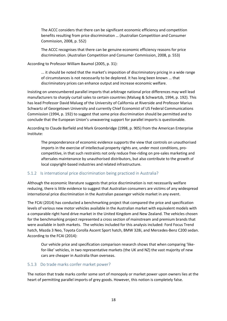The ACCC considers that there can be significant economic efficiency and competition benefits resulting from price discrimination … (Australian Competition and Consumer Commission, 2008, p. 552)

The ACCC recognises that there can be genuine economic efficiency reasons for price discrimination. (Australian Competition and Consumer Commission, 2008, p. 553)

According to Professor William Baumol (2005, p. 31):

... it should be noted that the market's imposition of discriminatory pricing in a wide range of circumstances is not necessarily to be deplored. It has long been known ... that discriminatory prices can enhance output and increase economic welfare.

Insisting on unencumbered parallel imports that arbitrage national price differences may well lead manufacturers to sharply curtail sales to certain countries (Malueg & Schwartzb, 1994, p. 192). This has lead Professor David Malueg of the University of California at Riverside and Professor Marius Schwartz of Georgetown University and currently Chief Economist of US Federal Communications Commission (1994, p. 192) to suggest that some price discrimination should be permitted and to conclude that the European Union's unwavering support for parallel imports is questionable.

According to Claude Barfield and Mark Groombridge (1998, p. 905) from the American Enterprise Institute:

The preponderance of economic evidence supports the view that controls on unauthorised imports in the exercise of intellectual property rights are, under most conditions, procompetitive, in that such restraints not only reduce free-riding on pre-sales marketing and aftersales maintenance by unauthorised distributors, but also contribute to the growth of local copyright-based industries and related infrastructure.

#### <span id="page-28-0"></span>5.1.2 Is international price discrimination being practiced in Australia?

Although the economic literature suggests that price discrimination is not necessarily welfare reducing, there is little evidence to suggest that Australian consumers are victims of any widespread international price discrimination in the Australian passenger vehicle market in any event.

The FCAI (2014) has conducted a benchmarking project that compared the price and specification levels of various new motor vehicles available in the Australian market with equivalent models with a comparable right hand drive market in the United Kingdom and New Zealand. The vehicles chosen for the benchmarking project represented a cross section of mainstream and premium brands that were available in both markets. The vehicles included for this analysis included: [Ford Focus Trend](http://www.fcai.com.au/library/vehicle-price-comparison/Ford%20Focus%20Trend%20hatch.pdf)  [hatch,](http://www.fcai.com.au/library/vehicle-price-comparison/Ford%20Focus%20Trend%20hatch.pdf) [Mazda 3 Neo,](http://www.fcai.com.au/library/vehicle-price-comparison/Mazda%203%20Neo%20hatch.pdf) [Toyota Corolla Ascent Sport hatch,](http://www.fcai.com.au/library/vehicle-price-comparison/Toyota%20Corolla%20Ascent%20Sport%20hatch.pdf) [BMW 328i,](http://www.fcai.com.au/library/vehicle-price-comparison/BMW%203%20Series%20328i%20sedan.pdf) an[d Mercedes-Benz C200 sedan.](http://www.fcai.com.au/library/vehicle-price-comparison/Mercedes-Benz%20C-Class%20C%20200%20sedan.pdf) According to the FCAI (2014):

Our vehicle price and specification comparison research shows that when comparing 'likefor-like' vehicles, in two representative markets (the UK and NZ) the vast majority of new cars are cheaper in Australia than overseas.

#### <span id="page-28-1"></span>5.1.3 Do trade marks confer market power?

The notion that trade marks confer some sort of monopoly or market power upon owners lies at the heart of permitting parallel imports of grey goods. However, this notion is completely false.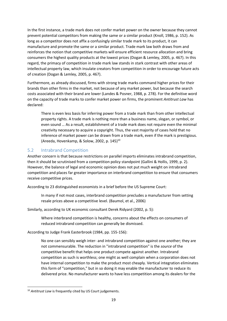In the first instance, a trade mark does not confer market power on the owner because they cannot prevent potential competitors from making the same or a similar product (Knoll, 1986, p. 152). As long as a competitor does not affix a confusingly similar trade mark to its product, it can manufacture and promote the same or a similar product. Trade mark law both draws from and reinforces the notion that competitive markets will ensure efficient resource allocation and bring consumers the highest quality products at the lowest prices (Dogan & Lemley, 2005, p. 467). In this regard, the primacy of competition in trade mark law stands in stark contrast with other areas of intellectual property law, which insulate creators from competition in order to encourage future acts of creation (Dogan & Lemley, 2005, p. 467).

Furthermore, as already discussed, firms with strong trade marks command higher prices for their brands than other firms in the market, not because of any market power, but because the search costs associated with their brand are lower (Landes & Posner, 1988, p. 278). For the definitive word on the capacity of trade marks to confer market power on firms, the prominent *Antitrust Law* has declared:

There is even less basis for inferring power from a trade mark than from other intellectual property rights. A trade mark is nothing more than a business name, slogan, or symbol, or even sound … As a result, establishment of a trade mark does not require even the minimal creativity necessary to acquire a copyright. Thus, the vast majority of cases hold that no inference of market power can be drawn from a trade mark, even if the mark is prestigious. (Areeda, Hovenkamp, & Solow, 2002, p.  $145$ )<sup>10</sup>

#### <span id="page-29-0"></span>5.2 Intrabrand Competition

Another concern is that because restrictions on parallel imports eliminates intrabrand competition, then it should be scrutinised from a competition policy standpoint (Gallini & Hollis, 1999, p. 2). However, the balance of legal and economic opinion does not put much weight on intrabrand competition and places far greater importance on interbrand competition to ensure that consumers receive competitive prices.

According to 23 distinguished economists in a brief before the US Supreme Court:

In many if not most cases, interbrand competition precludes a manufacturer from setting resale prices above a competitive level. (Baumol, et al., 2006)

Similarly, according to UK economic consultant Derek Ridyard (2002, p. 5):

Where interbrand competition is healthy, concerns about the effects on consumers of reduced intrabrand competition can generally be dismissed.

According to Judge Frank Easterbrook (1984, pp. 155-156):

No one can sensibly weigh inter- and intrabrand competition against one another; they are not commensurable. The reduction in "intrabrand competition" is the *source* of the competitive benefit that helps one product compete against another. Intrabrand competition as such is worthless; one might as well complain when a corporation does not have internal competition to make the product most cheaply. Vertical integration eliminates this form of "competition," but in so doing it may enable the manufacturer to reduce its delivered price. No manufacturer wants to have less competition among its dealers for the

**<sup>.</sup>** <sup>10</sup> Antitrust Law is frequently cited by US Court judgements.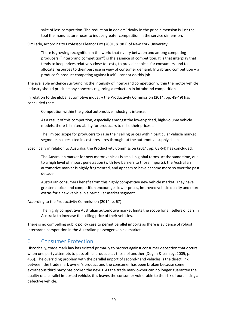sake of less competition. The reduction in dealers' rivalry in the price dimension is just the tool the manufacturer uses to induce greater competition in the service dimension.

Similarly, according to Professor Eleanor Fox (2001, p. 982) of New York University:

There is growing recognition in the world that rivalry between and among competing producers ("interbrand competition") is the essence of competition. It is that interplay that tends to keep prices relatively close to costs, to provide choices for consumers, and to allocate resources to their best use in view of consumer demand. Intrabrand competition – a producer's product competing against itself – cannot do this job.

The available evidence surrounding the intensity of interbrand competition within the motor vehicle industry should preclude any concerns regarding a reduction in intrabrand competition.

In relation to the global automotive industry the Productivity Commission (2014, pp. 48-49) has concluded that:

Competition within the global automotive industry is intense…

As a result of this competition, especially amongst the lower-priced, high-volume vehicle models, there is limited ability for producers to raise their prices …

The limited scope for producers to raise their selling prices within particular vehicle market segments has resulted in cost pressures throughout the automotive supply chain.

Specifically in relation to Australia, the Productivity Commission (2014, pp. 63-64) has concluded:

The Australian market for new motor vehicles is small in global terms. At the same time, due to a high level of import penetration (with few barriers to those imports), the Australian automotive market is highly fragmented, and appears to have become more so over the past decade…

Australian consumers benefit from this highly competitive new vehicle market. They have greater choice, and competition encourages lower prices, improved vehicle quality and more extras for a new vehicle in a particular market segment.

According to the Productivity Commission (2014, p. 67):

The highly competitive Australian automotive market limits the scope for all sellers of cars in Australia to increase the selling price of their vehicles.

There is no compelling public policy case to permit parallel imports as there is evidence of robust interbrand competition in the Australian passenger vehicle market.

#### <span id="page-30-0"></span>6 Consumer Protection

Historically, trade mark law has existed primarily to protect against consumer deception that occurs when one party attempts to pass off its products as those of another (Dogan & Lemley, 2005, p. 463). The overriding problem with the parallel import of second-hand vehicles is the direct link between the trade mark owner's product and the consumer has been broken because some extraneous third party has broken the nexus. As the trade mark owner can no longer guarantee the quality of a parallel imported vehicle, this leaves the consumer vulnerable to the risk of purchasing a defective vehicle.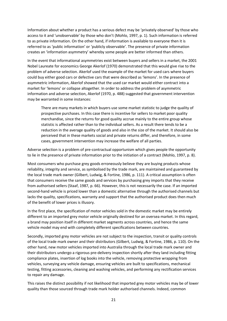Information about whether a product has a serious defect may be 'privately observed' by those who access to it and 'unobservable' by those who don't (Mohlo, 1997, p. 1). Such information is referred to as private information. On the other hand, if information is available to everyone then it is referred to as 'public information' or 'publicly observable'. The presence of private information creates an 'information asymmetry' whereby some people are better informed than others.

In the event that informational asymmetries exist between buyers and sellers in a market, the 2001 Nobel Laureate for economics George Akerlof (1970) demonstrated that this would give rise to the problem of adverse selection. Akerlof used the example of the market for used cars where buyers could buy either good cars or defective cars that were described as 'lemons'. In the presence of asymmetric information, Akerlof showed that the used car market would either contract into a market for 'lemons' or collapse altogether. In order to address the problem of asymmetric information and adverse selection, Akerlof (1970, p. 488) suggested that government intervention may be warranted in some instances:

There are many markets in which buyers use some market statistic to judge the quality of prospective purchases. In this case there is incentive for sellers to market poor quality merchandise, since the returns for good quality accrue mainly to the entire group whose statistic is affected rather than to the individual sellers. As a result there tends to be a reduction in the average quality of goods and also in the size of the market. It should also be perceived that in these markets social and private returns differ, and therefore, in some cases, government intervention may increase the welfare of all parties.

Adverse selection is a problem of pre-contractual opportunism which gives people the opportunity to lie in the presence of private information prior to the initiation of a contract (Mohlo, 1997, p. 8).

Most consumers who purchase grey goods erroneously believe they are buying products whose reliability, integrity and service, as symbolised by the trade mark, are maintained and guaranteed by the local trade mark owner (Gilbert, Ludwig, & Fortine, 1986, p. 111). A critical assumption is often that consumers receive the same goods and services by purchasing grey imports that they receive from authorised sellers (Staaf, 1987, p. 66). However, this is not necessarily the case. If an imported second-hand vehicle is priced lower than a domestic alternative through the authorised channels but lacks the quality, specifications, warranty and support that the authorised product does then much of the benefit of lower prices is illusory.

In the first place, the specification of motor vehicles sold in the domestic market may be entirely different to an imported grey motor vehicle originally destined for an oversea market. In this regard, a brand may position itself in different market segments across countries, and hence the same vehicle model may end with completely different specifications between countries.

Secondly, imported grey motor vehicles are not subject to the inspection, transit or quality controls of the local trade mark owner and their distributors (Gilbert, Ludwig, & Fortine, 1986, p. 110). On the other hand, new motor vehicles imported into Australia through the local trade mark owner and their distributors undergo a rigorous pre-delivery inspection shortly after they land including fitting compliance plates, insertion of log books into the vehicle, removing protective wrapping from vehicles, surveying any vehicle damage, ensuring vehicles are built to specifications, mechanical testing, fitting accessories, cleaning and washing vehicles, and performing any rectification services to repair any damage.

This raises the distinct possibility if not likelihood that imported grey motor vehicles may be of lower quality than those sourced through trade mark holder authorised channels. Indeed, common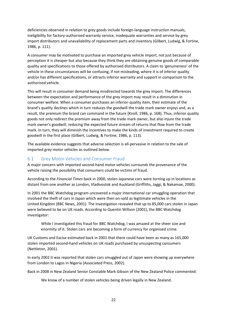deficiencies observed in relation to grey goods include foreign-language instruction manuals, ineligibility for factory-authorised warranty service, inadequate warranties and service by grey import distributors and unavailability of replacement parts and inventory (Gilbert, Ludwig, & Fortine, 1986, p. 111).

A consumer may be motivated to purchase an imported grey vehicle import, not just because of perception it is cheaper but also because they think they are obtaining genuine goods of comparable quality and specifications to those offered by authorised distributors. A claim to 'genuineness' of the vehicle in these circumstances will be confusing, if not misleading, where it is of inferior quality and/or has different specifications, or attracts inferior warranty and support in comparison to the authorised vehicle.

This will result in consumer demand being misdirected towards the grey import. The differences between the expectation and performance of the grey import may result in a diminution in consumer welfare. When a consumer purchases an inferior-quality item, their estimate of the brand's quality declines which in turn reduces the goodwill the trade mark owner enjoys and, as a result, the premium the brand can command in the future (Knoll, 1986, p. 168). Thus, inferior quality goods not only redirect the premium away from the trade mark owner, but also injure the trade mark owner's goodwill, reducing the expected future stream of returns that flow from the trade mark. In turn, they will diminish the incentives to make the kinds of investment required to create goodwill in the first place (Gilbert, Ludwig, & Fortine, 1986, p. 113).

The available evidence suggests that adverse selection is all-pervasive in relation to the sale of imported grey motor vehicles as outlined below.

#### <span id="page-32-0"></span>6.1 Grey Motor Vehicles and Consumer Fraud

A major concern with imported second-hand motor vehicles surrounds the provenance of the vehicle raising the possibility that consumers could be victims of fraud.

According to the *Financial Times* back in 2000, stolen Japanese cars were turning up in locations as distant from one another as London, Vladivostok and Auckland (Griffiths, Jaggi, & Nakamae, 2000).

In 2001 the BBC Watchdog program uncovered a major international car smuggling operation that involved the theft of cars in Japan which were then on-sold as legitimate vehicles in the United Kingdom (BBC News, 2001). The investigation revealed that up to 85,000 cars stolen in Japan were believed to be on UK roads. According to Quentin Willson (2001), the BBC Watchdog investigator:

While I investigated this fraud for BBC Watchdog, I was amazed at the sheer size and enormity of it. Stolen cars are becoming a form of currency for organised crime.

UK Customs and Excise estimated back in 2001 that there could have been as many as 165,000 stolen imported second-hand vehicles on UK roads purchased by unsuspecting consumers (Nettleton, 2001).

In early 2002 it was reported that stolen cars smuggled out of Japan were showing up everywhere from London to Lagos in Nigeria (Associated Press, 2002).

Back in 2008 in New Zealand Senior Constable Mark Gibson of the New Zealand Police commented:

We know of a number of stolen vehicles being driven legally in New Zealand.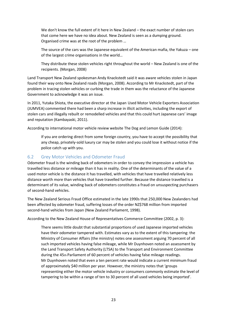We don't know the full extent of it here in New Zealand – the exact number of stolen cars that come here we have no idea about. New Zealand is seen as a dumping ground. Organised crime was at the root of the problem …

The source of the cars was the Japanese equivalent of the American mafia, the Yakuza – one of the largest crime organisations in the world…

They distribute these stolen vehicles right throughout the world – New Zealand is one of the recipients. (Morgan, 2008)

Land Transport New Zealand spokesman Andy Knackstedt said it was aware vehicles stolen in Japan found their way onto New Zealand roads (Morgan, 2008). According to Mr Knackstedt, part of the problem in tracing stolen vehicles or curbing the trade in them was the reluctance of the Japanese Government to acknowledge it was an issue.

In 2011, Yutaka Shiota, the executive director at the Japan Used Motor Vehicle Exporters Association (JUMVEA) commented there had been a sharp increase in illicit activities, including the export of stolen cars and illegally rebuilt or remodelled vehicles and that this could hurt Japanese cars' image and reputation (Kambayaski, 2011).

According to international motor vehicle review website The Dog and Lemon Guide (2014):

If you are ordering direct from some foreign country, you have to accept the possibility that any cheap, privately-sold luxury car may be stolen and you could lose it without notice if the police catch up with you.

#### <span id="page-33-0"></span>6.2 Grey Motor Vehicles and Odometer Fraud

Odometer fraud is the winding back of odometers in order to convey the impression a vehicle has travelled less distance or mileage than it has in reality. One of the determinants of the value of a used motor vehicle is the distance it has travelled, with vehicles that have travelled relatively less distance worth more than vehicles that have travelled further. Because the distance travelled is a determinant of its value, winding back of odometers constitutes a fraud on unsuspecting purchasers of second-hand vehicles.

The New Zealand Serious Fraud Office estimated in the late 1990s that 250,000 New Zealanders had been affected by odometer fraud, suffering losses of the order NZ\$768 million from imported second-hand vehicles from Japan (New Zealand Parliament, 1998).

According to the New Zealand House of Representatives Commerce Committee (2002, p. 3):

There seems little doubt that substantial proportions of used Japanese imported vehicles have their odometer tampered with. Estimates vary as to the extent of this tampering: the Ministry of Consumer Affairs (the ministry) notes one assessment arguing 70 percent of all such imported vehicles having false mileage, while Mr Duynhoven noted an assessment by the Land Transport Safety Authority (LTSA) to the Transport and Environment Committee during the 45th Parliament of 60 percent of vehicles having false mileage readings. Mr Duynhoven noted that even a ten percent rate would indicate a current minimum fraud of approximately \$40 million per year. However, the ministry notes that 'groups representing either the motor vehicle industry or consumers commonly estimate the level of tampering to be within a range of ten to 30 percent of all used vehicles being imported'.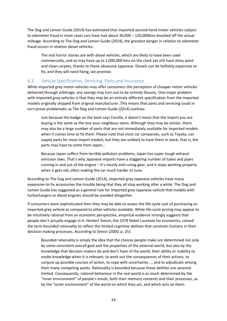The Dog and Lemon Guide (2014) has estimated that imported second-hand motor vehicles subject to odometer fraud in most cases cars have had about 30,000 – 120,000kms knocked off the actual mileage. According to The Dog and Lemon Guide (2014), the greatest danger in relation to odometer fraud occurs in relation diesel vehicles:

The real horror stories are with diesel vehicles, which are likely to have been used commercially, and so may have up to 1,000,000 kms on the clock yet still have shiny paint and clean carpets, thanks to those obsessive Japanese. Diesels can be hellishly expensive to fix, and they will need fixing, we promise.

#### <span id="page-34-0"></span>6.3 Vehicle Specification, Servicing, Parts and Insurance

While imported grey motor vehicles may offer consumers the perception of cheaper motor vehicles delivered through arbitrage, any savings may turn out to be entirely illusory. One major problem with imported grey vehicles is that they may be an entirely different specification from the imported models originally shipped from original manufacturer. This means that parts and servicing could in turn prove problematic as The Dog and Lemon Guide (2014) outlines:

Just because the badge on the boot says Corolla, it doesn't mean that the import you are buying is the same as the one your neighbour owns. Although they may be similar, there may also be a large number of parts that are not immediately available for imported models when it comes time to fix them. Please note that most car companies, such as Toyota, can supply parts for most import models, but they are unlikely to have them in stock, that is, the parts may have to come from Japan…

Because Japan suffers from terrible pollution problems, Japan has super-tough exhaust emission laws. That's why Japanese imports have a staggering number of tubes and pipes running in and out of the engine – it's mostly anti–smog gear, and it stops working properly when it gets old, often making the car much harder to tune.

According to The Dog and Lemon Guide (2014), imported grey Japanese vehicles have many expensive-to-fix accessories the trouble being that they all stop working after a while. The Dog and Lemon Guide has suggested as a general rule for imported grey Japanese vehicle that models with turbochargers or diesel engines should be avoided altogether.

If consumers were sophisticated then they may be able to assess the life-cycle cost of purchasing an imported grey vehicle as compared to other vehicles available. While life-cycle pricing may appear to be intuitively rational from an economic perspective, empirical evidence strongly suggests that people don't actually engage in it. Herbert Simon, the 1978 Nobel Laureate for economics, coined the term bounded rationality to reflect the limited cognitive abilities that constrain humans in their decision making processes. According to Simon (2000, p. 25):

Bounded rationality is simply the idea that the choices people make are determined not only by some consistent overall goal and the properties of the external world, but also by the knowledge that decision makers do and don't have of the world, their ability or inability to evoke knowledge when it is relevant, to work out the consequences of their actions, to conjure up possible courses of action, to cope with uncertainty …, and to adjudicate among their many competing wants. Rationality is bounded because these abilities are severely limited. Consequently, rational behaviour in the real world is as much determined by the "inner environment" of people's minds, both their memory contents and their processes, as by the "outer environment" of the world on which they act, and which acts on them.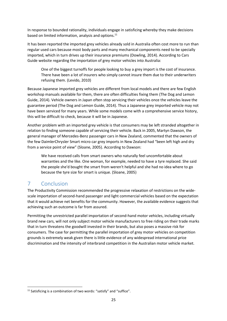In response to bounded rationality, individuals engage in satisficing whereby they make decisions based on limited information, analysis and options.<sup>11</sup>

It has been reported the imported grey vehicles already sold in Australia often cost more to run than regular used cars because most body parts and many mechanical components need to be specially imported, which in turn drives up their insurance premiums (Dowling, 2014). According to Cars Guide website regarding the importation of grey motor vehicles into Australia:

One of the biggest turnoffs for people looking to buy a grey import is the cost of insurance. There have been a lot of insurers who simply cannot insure them due to their underwriters refusing them. (Levido, 2010)

Because Japanese imported grey vehicles are different from local models and there are few English workshop manuals available for them, there are often difficulties fixing them (The Dog and Lemon Guide, 2014). Vehicle owners in Japan often stop servicing their vehicles once the vehicles leave the guarantee period (The Dog and Lemon Guide, 2014). Thus a Japanese grey imported vehicle may not have been serviced for many years. While some models come with a comprehensive service history, this will be difficult to check, because it will be in Japanese.

Another problem with an imported grey vehicle is that consumers may be left stranded altogether in relation to finding someone capable of servicing their vehicle. Back in 2005, Martyn Dawson, the general manager of Mercedes-Benz passenger cars in New Zealand, commented that the owners of the few DaimlerChrysler Smart micro car grey imports in New Zealand had "been left high and dry from a service point of view" (Sloane, 2005). According to Dawson:

We have received calls from smart owners who naturally feel uncomfortable about warranties and the like. One woman, for example, needed to have a tyre replaced. She said the people she'd bought the smart from weren't helpful and she had no idea where to go because the tyre size for smart is unique. (Sloane, 2005)

# <span id="page-35-0"></span>7 Conclusion

The Productivity Commission recommended the progressive relaxation of restrictions on the widescale importation of second-hand passenger and light commercial vehicles based on the expectation that it would achieve net benefits for the community. However, the available evidence suggests that achieving such an outcome is far from assured.

Permitting the unrestricted parallel importation of second-hand motor vehicles, including virtually brand new cars, will not only subject motor vehicle manufacturers to free riding on their trade marks that in turn threatens the goodwill invested in their brands, but also poses a massive risk for consumers. The case for permitting the parallel importation of grey motor vehicles on competition grounds is extremely weak given there is little evidence of any widespread international price discrimination and the intensity of interbrand competition in the Australian motor vehicle market.

**<sup>.</sup>**  $11$  Satisficing is a combination of two words: "satisfy" and "suffice".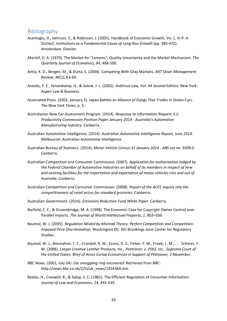#### <span id="page-36-0"></span>Bibliography

- Acemoglu, D., Johnson, S., & Robinson, J. (2005). Handbook of Economic Growth, Vo. 1. In P. A. Durlauf, *Institutions as a Fundamental Cause of Long-Run Growth* (pp. 385-472). Amsterdam: Elsevier.
- Akerlof, G. A. (1970). The Market for "Lemons": Quality Uncertainty and the Market Mechanism. *The Quarterly Journal of Economics, 84*, 488-500.
- Antia, K. D., Bergen, M., & Dutta, S. (2004). Competing With Gray Markets. *MIT Sloan Management Review, 46*(1), 63-69.
- Areeda, P. E., Hovenkamp, H., & Solow, J. L. (2002). *Antitrust Law, Vol. IIA Second Edition.* New York: Aspen Law & Business.
- Associated Press. (2002, January 5). Japan Battles an Alliance of Gangs That Trades in Stolen Cars. *The New York Times*, p. 5.
- Australasian New Car Assessment Program. (2014). *Response to Information Request 3.2: Productivity Commission Position Paper January 2014 - Australia's Automotive Manufacturing Industry.* Canberra.
- Australian Automotive Intelligence. (2014). *Australian Automotive Intelligence Report, June 2014.* Melbourne: Australian Automotive Intelligence.
- Australian Bureau of Statistics. (2014). *Motor Vehicle Census 31 January 2014 - ABS cat no. 9309.0.* Canberra.
- Australian Competition and Consumer Commission. (2007). *Application for authorisation lodged by the Federal Chamber of Automotive Industries on behalf of its members in respect of new and existing facilities for the importation and exportation of motor vehicles into and out of Australia.* Canberra.
- Australian Competition and Consumer Commission. (2008). *Report of the ACCC inquiry into the competitiveness of retail prices for standard groceries.* Canberra.
- Australian Government. (2014). *Emissions Reduction Fund White Paper.* Canberra.
- Barfield, C. E., & Groombridge, M. A. (1998). The Economic Case for Copyright Owner Control over Parallel Imports. *The Journal of World Intellectual Property, 1*, 903–939.
- Baumol, W. J. (2005). *Regulation Misled by Misread Theory: Perfect Competition and Competition-Imposed Price Discrimination.* Washington DC: AEI-Brookings Joint Center for Regulatory Studies.
- Baumol, W. J., Bresnahan, T. F., Crandall, R. W., Evans, D. S., Fisher, F. M., Froeb, L. M., . . . Scherer, F. M. (2006). *Leegin Creative Leather Products, Inc., Petitioner, v. PSKS, Inc., Supreme Court of the United States, Brief of Amici Curiae Economists in Support of Petitioner, 3 November.*
- BBC News. (2001, July 24). *Car smuggling ring uncovered.* Retrieved from BBC: http://news.bbc.co.uk/2/hi/uk\_news/1454384.stm
- Beales, H., Craswell, R., & Salop, S. C. (1981). The Efficient Regulation of Consumer Information. *Journal of Law and Economics, 24*, 491-539.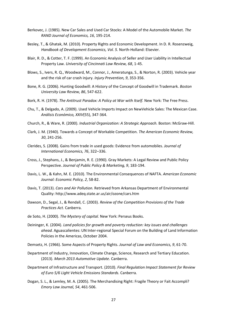- Berkovec, J. (1985). New Car Sales and Used Car Stocks: A Model of the Automobile Market. *The RAND Journal of Economics, 16*, 195-214.
- Besley, T., & Ghatak, M. (2010). Property Rights and Economic Development. In D. R. Rosenzweig, *Handbook of Development Economics, Vol. 5.* North-Holland: Elsevier.
- Blair, R. D., & Cotter, T. F. (1999). An Economic Analysis of Seller and User Liability in Intellectual Property Law. *University of Cincinnati Law Review, 68*, 1-45.
- Blows, S., Ivers, R. Q., Woodward, M., Connor, J., Ameratunga, S., & Norton, R. (2003). Vehicle year and the risk of car crash injury. *Injury Prevention, 9*, 353-356.
- Bone, R. G. (2006). Hunting Goodwill: A History of the Concept of Goodwill in Trademark. *Boston University Law Review, 86*, 547-622.
- Bork, R. H. (1978). *The Antitrust Paradox: A Policy at War with Itself.* New York: The Free Press.
- Chu, T., & Delgado, A. (2009). Used Vehicle Imports Impact on NewVehicle Sales: The Mexican Case. *Análisis Económico, XXIV*(55), 347-364.
- Church, R., & Ware, R. (2000). *Industrial Organization: A Strategic Approach.* Boston: McGraw-Hill.
- Clark, J. M. (1940). Towards a Concept of Workable Competition. *The American Economic Review, 30*, 241-256.
- Clerides, S. (2008). Gains from trade in used goods: Evidence from automobiles. *Journal of International Economics, 76*, 322–336.
- Cross, J., Stephans, J., & Benjamin, R. E. (1990). Gray Markets: A Legal Review and Public Policy Perspective. *Journal of Public Policy & Marketing, 9*, 183-194.
- Davis, L. W., & Kahn, M. E. (2010). The Environmental Consequences of NAFTA. *American Economic Journal: Economic Policy, 2*, 58-82.
- Davis, T. (2013). *Cars and Air Pollution.* Retrieved from Arkansas Department of Environmental Quality: http://www.adeq.state.ar.us/air/ozone/cars.htm
- Dawson, D., Segal, J., & Rendall, C. (2003). *Review of the Competition Provisions of the Trade Practices Act.* Canberra.
- de Soto, H. (2000). *The Mystery of capital.* New York: Perseus Books.
- Deininger, K. (2004). *Land policies for growth and poverty reduction: key issues and challenges ahead.* Aguascalientes: UN Inter-regional Special Forum on the Building of Land Information Policies in the Americas, October 2004.
- Demsetz, H. (1966). Some Aspects of Property Rights. *Journal of Law and Economics, 9*, 61-70.
- Department of Industry, Innovation, Climate Change, Science, Research and Tertiary Education. (2013). *March 2013 Automotive Update.* Canberra.
- Department of Infrastructure and Transport. (2010). *Final Regulation Impact Statement for Review of Euro 5/6 Light Vehicle Emissions Standards.* Canberra.
- Dogan, S. L., & Lemley, M. A. (2005). The Merchandising Right: Fragile Theory or Fait Accompli? *Emory Law Journal, 54*, 461-506.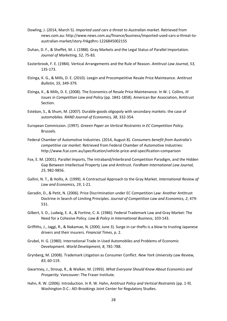- Dowling, J. (2014, March 5). *Imported used cars a threat to Australian market.* Retrieved from news.com.au: http://www.news.com.au/finance/business/imported-used-cars-a-threat-toaustralian-market/story-fnkgdhrc-1226845002155
- Duhan, D. F., & Sheffet, M. J. (1988). Gray Markets and the Legal Status of Parallel Importation. *Journal of Marketing, 52*, 75-83.
- Easterbrook, F. E. (1984). Vertical Arrangements and the Rule of Reason. *Antitrust Law Journal, 53*, 135-173.
- Elzinga, K. G., & Mills, D. E. (2010). Leegin and Procompetitive Resale Price Mainteance. *Antitrust Bulletin, 55*, 349-379.
- Elzinga, K., & Mills, D. E. (2008). The Economics of Resale Price Maintenance. In W. (. Collins, *III Issues in Competition Law and Policy* (pp. 1841-1858). American Bar Association, Antitrust Section.
- Esteban, S., & Shum, M. (2007). Durable-goods oligopoly with secondary markets: the case of automobiles. *RAND Journal of Economics, 38*, 332-354.
- European Commission. (1997). *Greeen Paper on Vertical Restraints in EC Competition Policy.* Brussels.
- Federal Chamber of Automotive Industries. (2014, August 8). *Consumers benefit from Australia's competitive car market.* Retrieved from Federal Chamber of Automotive Industries: http://www.fcai.com.au/specification/vehicle-price-and-specification-comparison
- Fox, E. M. (2001). Parallel Imports, The Intraband/Interbrand Competition Paradigm, and the Hidden Gap Between Intellectual Property Law and Antitrust. *Fordham International Law Journal, 25*, 982-9856.
- Gallini, N. T., & Hollis, A. (1999). A Contractual Approach to the Gray Market. *International Review of Law and Economics, 19*, 1-21.
- Geradin, D., & Petit, N. (2006). Price Discrimination under EC Competition Law: Another Antitrust Doctrine in Search of Limiting Principles. *Journal of Competition Law and Economics, 2*, 479- 531.
- Gilbert, S. D., Ludwig, E. A., & Fortine, C. A. (1986). Federal Trademark Law and Gray Market: The Need for a Cohesive Policy. *Law & Policy in International Business*, 103-143.
- Griffiths, J., Jaggi, R., & Nakamae, N. (2000, June 3). Surge in car thefts is a blow to trusting Japanese drivers and their insurers. *Financial Times*, p. 2.
- Grubel, H. G. (1980). International Trade in Used Automobiles and Problems of Economic Development. *World Development, 8*, 781-788.
- Grynberg, M. (2008). Trademark Litigation as Consumer Conflict. *New York University Law Review, 83*, 60-119.
- Gwartney, J., Stroup, R., & Walker, M. (1993). *What Everyone Should Know About Economics and Prosperity.* Vancouver: The Fraser Institute.
- Hahn, R. W. (2006). Introduction. In R. W. Hahn, *Antitrust Policy and Vertical Restraints* (pp. 1-9). Washington D.C.: AEI-Brookings Joint Center for Regulatory Studies.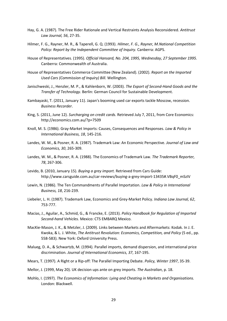- Hay, G. A. (1987). The Free Rider Rationale and Vertical Restraints Analysis Reconsidered. *Antitrust Law Journal, 56*, 27-35.
- Hilmer, F. G., Rayner, M. R., & Taperell, G. Q. (1993). *Hilmer, F. G., Rayner, M.National Competition Policy: Report by the Independent Committee of Inquiry.* Canberra: AGPS.
- House of Representatives. (1995). *Official Hansard, No. 204, 1995, Wednesday, 27 September 1995.* Canberra: Commonwealth of Australia.
- House of Representatives Commerce Committee (New Zealand). (2002). *Report on the Imported Used Cars (Commission of Inquiry) Bill.* Wellington.
- Janischweski, J., Henzler, M. P., & Kahlenborn, W. (2003). *The Export of Second-Hand Goods and the Transfer of Technology.* Berlin: German Council for Sustainable Development.
- Kambayaski, T. (2011, January 11). Japan's booming used car exports tackle Moscow, recession. *Business Recorder*.
- King, S. (2011, June 12). *Surcharging on credit cards.* Retrieved July 7, 2011, from Core Economics: http://economics.com.au/?p=7509
- Knoll, M. S. (1986). Gray-Market Imports: Causes, Consequences and Responses. *Law & Policy in International Business, 18*, 145-216.
- Landes, W. M., & Posner, R. A. (1987). Trademark Law: An Economic Perspective. *Journal of Law and Economics, 30*, 265-309.
- Landes, W. M., & Posner, R. A. (1988). The Economics of Trademark Law. *The Trademark Reporter, 78*, 267-306.
- Levido, B. (2010, January 15). *Buying a grey import.* Retrieved from Cars Guide: http://www.carsguide.com.au/car-reviews/buying-a-grey-import-13435#.VBqF0\_mSzIV
- Lewin, N. (1986). The Ten Commandments of Parallel Importation. *Law & Policy in International Business, 18*, 216-239.
- Liebeler, L. H. (1987). Trademark Law, Economics and Grey-Market Policy. *Indiana Law Journal, 62*, 753-777.
- Macias, J., Aguilar, A., Schmid, G., & Francke, E. (2013). *Policy Handbook for Regulation of Imported Second-hand Vehicles.* Mexico: CTS EMBARQ Mexico.
- MacKie-Mason, J. K., & Metzler, J. (2009). Links between Markets and Aftermarkets: Kodak. In J. E. Kwoka, & L. J. White, *The Antitrust Revolution: Economics, Competition, and Policy* (5 ed., pp. 558-583). New York: Oxford University Press.
- Malueg, D. A., & Schwartzb, M. (1994). Parallel imports, demand dispersion, and international price discrimination. *Journal of International Economics, 37*, 167-195.
- Mears, T. (1997). A Right or a Rip-off: The Parallel Importing Debate. *Policy, Winter 1997*, 35-39.
- Mellor, J. (1999, May 20). UK decision ups ante on grey imports. *The Australian*, p. 18.
- Mohlo, I. (1997). *The Economics of Information: Lying and Cheating in Markets and Organisations.* London: Blackwell.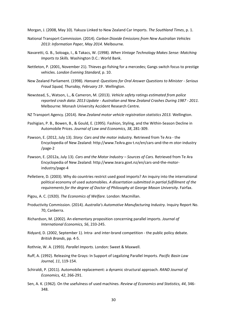Morgan, J. (2008, May 10). Yakuza Linked to New Zealand Car Imports. *The Southland Times*, p. 1.

- National Transport Commission. (2014). *Carbon Dioxide Emissions from New Australian Vehicles 2013: Information Paper, May 2014.* Melbourne.
- Navaretti, G. B., Soloaga, I., & Takacs, W. (1998). *When Vintage Technology Makes Sense: Matching Imports to Skills.* Washington D.C.: World Bank.
- Nettleton, P. (2001, November 21). Thieves go fishing for a mercedes; Gangs switch focus to prestige vehicles. *London Evening Standard*, p. 10.
- New Zealand Parliament. (1998). *Hansard: Questions for Oral Answer Questions to Minister - Serious Fraud Squad, Thursday, February 19 .* Wellington.
- Newstead, S., Watson, L., & Cameron, M. (2013). *Vehicle safety ratings estimated from police reported crash data: 2013 Update - Australian and New Zealand Crashes During 1987 - 2011.* Melbourne: Monash University Accident Research Centre.
- NZ Transport Agency. (2014). *New Zealand motor vehicle registration statistics 2013.* Wellington.
- Pashigian, P. B., Bowen, B., & Gould, E. (1995). Fashion, Styling, and the Within-Season Decline in Automobile Prices. *Journal of Law and Economics, 38*, 281-309.
- Pawson, E. (2012, July 13). *Story: Cars and the motor industry.* Retrieved from Te Ara the Encyclopedia of New Zealand: http://www.TeAra.gov t.nz/en/cars-and-the-m otor-industry /page-2
- Pawson, E. (2012a, July 13). *Cars and the Motor Industry – Sources of Cars.* Retrieved from Te Ara Encyclopedia of New Zealand: http://www.teara.govt.nz/en/cars-and-the-motorindustry/page-4
- Pelletiere, D. (2003). Why do countries restrict used good imports? An inquiry into the international political economy of used automobiles. *A dissertation submitted in partial fulfillment of the requirements for the degree of Doctor of Philosophy at George Mason University.* Fairfax.
- Pigou, A. C. (1920). *The Economics of Welfare.* London: Macmillan.
- Productivity Commission. (2014). *Australia's Automotive Manufacturing Industry.* Inquiry Report No. 70, Canberra.
- Richardson, M. (2002). An elementary proposition concerning parallel imports. *Journal of International Economics, 56*, 233-245.
- Ridyard, D. (2002, September 1). Intra- and inter-brand competition the public policy debate. *British Brands*, pp. 4-5.
- Rothnie, W. A. (1993). *Parallel Imports.* London: Sweet & Maxwell.
- Ruff, A. (1992). Releasing the Grays: In Support of Legalizing Parallel Imports. *Pacific Basin Law Journal, 11*, 119-154.
- Schiraldi, P. (2011). Automobile replacement: a dynamic structural approach. *RAND Journal of Economics, 42*, 266-291.
- Sen, A. K. (1962). On the usefulness of used machines. *Review of Economics and Statistics, 44*, 346- 348.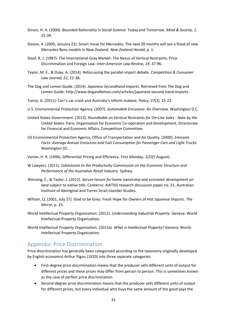- Simon, H. A. (2000). Bounded Rationality in Social Science: Today and Tomorrow. *Mind & Soceity, 1*, 25-39.
- Sloane, A. (2005, January 22). Smart move for Mercedes; The next 20 months will see a flood of new Mercedes-Benz models in New Zealand. *New Zealand Herald*, p. 1.
- Staaf, R. J. (1987). The International Gray Market: The Nexus of Vertical Restraints, Price Discrimination and Foreign Law. *Inter-American Law Review, 19*, 37-96.
- Taylor, M. E., & Duke, A. (2014). Refocussing the parallel import debate. *Competition & Consumer Law Journal, 22*, 21-38.
- The Dog and Lemon Guide. (2014). *Japanese Secondhand Imports.* Retrieved from The Dog and Lemon Guide: http://www.dogandlemon.com/articles/japanese-second-hand-imports
- Tunny, G. (2011). Carr's car crash and Australia's reform malaise. *Policy, 27*(3), 15-22.
- U.S. Environmental Protection Agency. (2007). *Automobile Emissions: An Overview.* Washington D.C.
- United States Government. (2013). *Roundtable on Vertical Restraints for On-Line Sales - Note by the United States.* Paris: Organisation for Economic Co-operation and Development, Directorate for Financial and Economic Affairs, Competition Committee.
- US Environmental Protection Agency, Office of Transportation and Air Quality. (2000). *Emission Facts: Average Annual Emissions and Fuel Consumption for Passenger Cars and Light Trucks.* Washington DC.
- Varian, H. R. (1996). Differential Pricing and Efficiency. *First Monday, 1(2)*(5 August).
- W Lawyers. (2011). *Submission to the Productivity Commission on the Economic Structure and Performance of the Australian Retail Industry.* Sydney.
- Wensing, E., & Taylor, J. (2012). *Secure tenure for home ownership and economic development on land subject to native title.* Canberra: AIATSIS research discussion paper no. 31, Australian Institute of Aboriginal and Torres Strait Islander Studies.
- Willson, Q. (2001, July 27). Glad to be Grey: Fresh Hope for Owners of Hot Japanese Imports. *The Mirror*, p. 25.
- World Intellectual Property Organization. (2012). *Understanding Industrial Property.* Geneva: World Intellectual Property Organization.
- World Intellectual Property Organization. (2012a). *What is Intellectual Property?* Geneva: World Intellectual Property Organization.

#### <span id="page-41-0"></span>Appendix: Price Discrimination

Price discrimination has generally been categorised according to the taxonomy originally developed by English economist Arthur Pigou (1920) into three separate categories:

- First-degree price discrimination means that the producer sells different units of output for different prices and these prices may differ from person to person. This is sometimes known as the case of perfect price discrimination.
- Second-degree price discrimination means that the producer sells different units of output for different prices, but every individual who buys the same amount of the good pays the